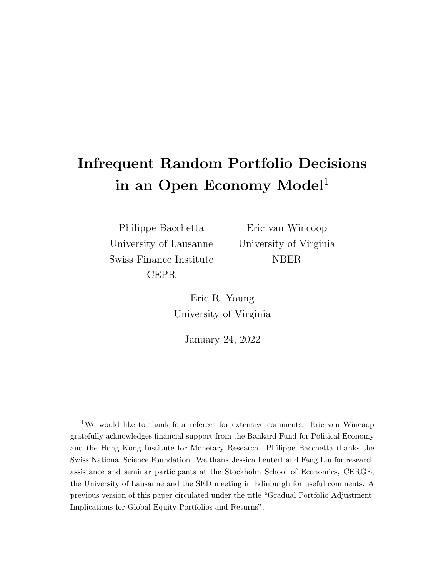## Infrequent Random Portfolio Decisions in an Open Economy Model<sup>1</sup>

Philippe Bacchetta University of Lausanne Swiss Finance Institute CEPR

Eric van Wincoop University of Virginia NBER

Eric R. Young University of Virginia

January 24, 2022

<sup>1</sup>We would like to thank four referees for extensive comments. Eric van Wincoop gratefully acknowledges financial support from the Bankard Fund for Political Economy and the Hong Kong Institute for Monetary Research. Philippe Bacchetta thanks the Swiss National Science Foundation. We thank Jessica Leutert and Fang Liu for research assistance and seminar participants at the Stockholm School of Economics, CERGE, the University of Lausanne and the SED meeting in Edinburgh for useful comments. A previous version of this paper circulated under the title "Gradual Portfolio Adjustment: Implications for Global Equity Portfolios and Returns".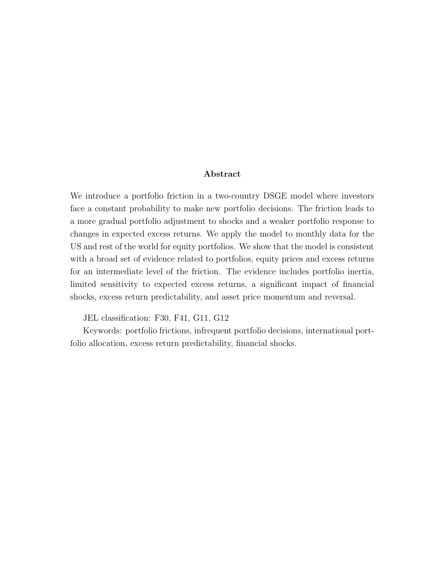#### Abstract

We introduce a portfolio friction in a two-country DSGE model where investors face a constant probability to make new portfolio decisions. The friction leads to a more gradual portfolio adjustment to shocks and a weaker portfolio response to changes in expected excess returns. We apply the model to monthly data for the US and rest of the world for equity portfolios. We show that the model is consistent with a broad set of evidence related to portfolios, equity prices and excess returns for an intermediate level of the friction. The evidence includes portfolio inertia, limited sensitivity to expected excess returns, a significant impact of financial shocks, excess return predictability, and asset price momentum and reversal.

JEL classification: F30, F41, G11, G12

Keywords: portfolio frictions, infrequent portfolio decisions, international portfolio allocation, excess return predictability, financial shocks.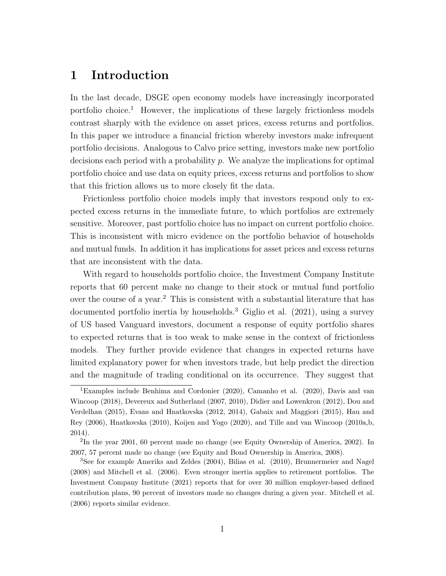## 1 Introduction

In the last decade, DSGE open economy models have increasingly incorporated portfolio choice.<sup>1</sup> However, the implications of these largely frictionless models contrast sharply with the evidence on asset prices, excess returns and portfolios. In this paper we introduce a financial friction whereby investors make infrequent portfolio decisions. Analogous to Calvo price setting, investors make new portfolio decisions each period with a probability  $p$ . We analyze the implications for optimal portfolio choice and use data on equity prices, excess returns and portfolios to show that this friction allows us to more closely fit the data.

Frictionless portfolio choice models imply that investors respond only to expected excess returns in the immediate future, to which portfolios are extremely sensitive. Moreover, past portfolio choice has no impact on current portfolio choice. This is inconsistent with micro evidence on the portfolio behavior of households and mutual funds. In addition it has implications for asset prices and excess returns that are inconsistent with the data.

With regard to households portfolio choice, the Investment Company Institute reports that 60 percent make no change to their stock or mutual fund portfolio over the course of a year.<sup>2</sup> This is consistent with a substantial literature that has documented portfolio inertia by households.<sup>3</sup> Giglio et al. (2021), using a survey of US based Vanguard investors, document a response of equity portfolio shares to expected returns that is too weak to make sense in the context of frictionless models. They further provide evidence that changes in expected returns have limited explanatory power for when investors trade, but help predict the direction and the magnitude of trading conditional on its occurrence. They suggest that

<sup>1</sup>Examples include Benhima and Cordonier (2020), Camanho et al. (2020), Davis and van Wincoop (2018), Devereux and Sutherland (2007, 2010), Didier and Lowenkron (2012), Dou and Verdelhan (2015), Evans and Hnatkovska (2012, 2014), Gabaix and Maggiori (2015), Hau and Rey (2006), Hnatkovska (2010), Koijen and Yogo (2020), and Tille and van Wincoop (2010a,b, 2014).

<sup>2</sup> In the year 2001, 60 percent made no change (see Equity Ownership of America, 2002). In 2007, 57 percent made no change (see Equity and Bond Ownership in America, 2008).

<sup>3</sup>See for example Ameriks and Zeldes (2004), Bilias et al. (2010), Brunnermeier and Nagel (2008) and Mitchell et al. (2006). Even stronger inertia applies to retirement portfolios. The Investment Company Institute (2021) reports that for over 30 million employer-based defined contribution plans, 90 percent of investors made no changes during a given year. Mitchell et al. (2006) reports similar evidence.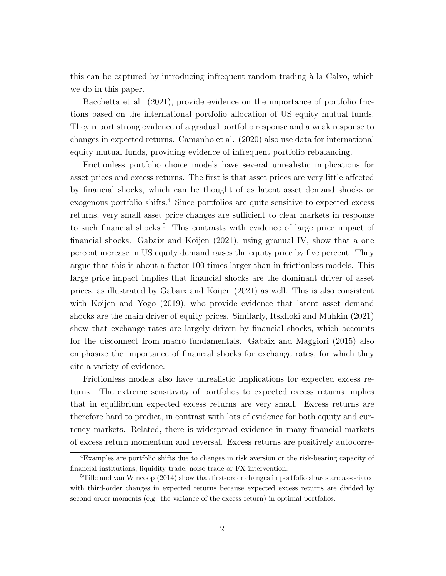this can be captured by introducing infrequent random trading à la Calvo, which we do in this paper.

Bacchetta et al. (2021), provide evidence on the importance of portfolio frictions based on the international portfolio allocation of US equity mutual funds. They report strong evidence of a gradual portfolio response and a weak response to changes in expected returns. Camanho et al. (2020) also use data for international equity mutual funds, providing evidence of infrequent portfolio rebalancing.

Frictionless portfolio choice models have several unrealistic implications for asset prices and excess returns. The first is that asset prices are very little affected by financial shocks, which can be thought of as latent asset demand shocks or exogenous portfolio shifts.<sup>4</sup> Since portfolios are quite sensitive to expected excess returns, very small asset price changes are sufficient to clear markets in response to such financial shocks.<sup>5</sup> This contrasts with evidence of large price impact of financial shocks. Gabaix and Koijen (2021), using granual IV, show that a one percent increase in US equity demand raises the equity price by five percent. They argue that this is about a factor 100 times larger than in frictionless models. This large price impact implies that financial shocks are the dominant driver of asset prices, as illustrated by Gabaix and Koijen (2021) as well. This is also consistent with Koijen and Yogo (2019), who provide evidence that latent asset demand shocks are the main driver of equity prices. Similarly, Itskhoki and Muhkin (2021) show that exchange rates are largely driven by financial shocks, which accounts for the disconnect from macro fundamentals. Gabaix and Maggiori (2015) also emphasize the importance of financial shocks for exchange rates, for which they cite a variety of evidence.

Frictionless models also have unrealistic implications for expected excess returns. The extreme sensitivity of portfolios to expected excess returns implies that in equilibrium expected excess returns are very small. Excess returns are therefore hard to predict, in contrast with lots of evidence for both equity and currency markets. Related, there is widespread evidence in many financial markets of excess return momentum and reversal. Excess returns are positively autocorre-

<sup>4</sup>Examples are portfolio shifts due to changes in risk aversion or the risk-bearing capacity of financial institutions, liquidity trade, noise trade or FX intervention.

<sup>5</sup>Tille and van Wincoop (2014) show that first-order changes in portfolio shares are associated with third-order changes in expected returns because expected excess returns are divided by second order moments (e.g. the variance of the excess return) in optimal portfolios.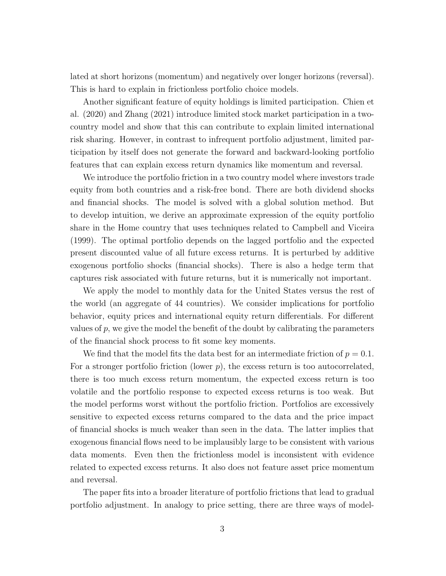lated at short horizons (momentum) and negatively over longer horizons (reversal). This is hard to explain in frictionless portfolio choice models.

Another significant feature of equity holdings is limited participation. Chien et al. (2020) and Zhang (2021) introduce limited stock market participation in a twocountry model and show that this can contribute to explain limited international risk sharing. However, in contrast to infrequent portfolio adjustment, limited participation by itself does not generate the forward and backward-looking portfolio features that can explain excess return dynamics like momentum and reversal.

We introduce the portfolio friction in a two country model where investors trade equity from both countries and a risk-free bond. There are both dividend shocks and financial shocks. The model is solved with a global solution method. But to develop intuition, we derive an approximate expression of the equity portfolio share in the Home country that uses techniques related to Campbell and Viceira (1999). The optimal portfolio depends on the lagged portfolio and the expected present discounted value of all future excess returns. It is perturbed by additive exogenous portfolio shocks (financial shocks). There is also a hedge term that captures risk associated with future returns, but it is numerically not important.

We apply the model to monthly data for the United States versus the rest of the world (an aggregate of 44 countries). We consider implications for portfolio behavior, equity prices and international equity return differentials. For different values of  $p$ , we give the model the benefit of the doubt by calibrating the parameters of the financial shock process to fit some key moments.

We find that the model fits the data best for an intermediate friction of  $p = 0.1$ . For a stronger portfolio friction (lower  $p$ ), the excess return is too autocorrelated, there is too much excess return momentum, the expected excess return is too volatile and the portfolio response to expected excess returns is too weak. But the model performs worst without the portfolio friction. Portfolios are excessively sensitive to expected excess returns compared to the data and the price impact of financial shocks is much weaker than seen in the data. The latter implies that exogenous financial flows need to be implausibly large to be consistent with various data moments. Even then the frictionless model is inconsistent with evidence related to expected excess returns. It also does not feature asset price momentum and reversal.

The paper fits into a broader literature of portfolio frictions that lead to gradual portfolio adjustment. In analogy to price setting, there are three ways of model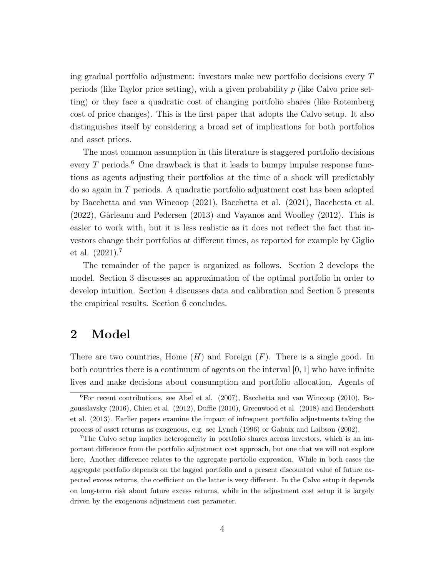ing gradual portfolio adjustment: investors make new portfolio decisions every T periods (like Taylor price setting), with a given probability  $p$  (like Calvo price setting) or they face a quadratic cost of changing portfolio shares (like Rotemberg cost of price changes). This is the first paper that adopts the Calvo setup. It also distinguishes itself by considering a broad set of implications for both portfolios and asset prices.

The most common assumption in this literature is staggered portfolio decisions every  $T$  periods.<sup>6</sup> One drawback is that it leads to bumpy impulse response functions as agents adjusting their portfolios at the time of a shock will predictably do so again in T periods. A quadratic portfolio adjustment cost has been adopted by Bacchetta and van Wincoop (2021), Bacchetta et al. (2021), Bacchetta et al.  $(2022)$ , Gârleanu and Pedersen  $(2013)$  and Vayanos and Woolley  $(2012)$ . This is easier to work with, but it is less realistic as it does not reflect the fact that investors change their portfolios at different times, as reported for example by Giglio et al. (2021).<sup>7</sup>

The remainder of the paper is organized as follows. Section 2 develops the model. Section 3 discusses an approximation of the optimal portfolio in order to develop intuition. Section 4 discusses data and calibration and Section 5 presents the empirical results. Section 6 concludes.

## 2 Model

There are two countries, Home  $(H)$  and Foreign  $(F)$ . There is a single good. In both countries there is a continuum of agents on the interval  $[0, 1]$  who have infinite lives and make decisions about consumption and portfolio allocation. Agents of

<sup>6</sup>For recent contributions, see Abel et al. (2007), Bacchetta and van Wincoop (2010), Bogousslavsky (2016), Chien et al. (2012), Duffie (2010), Greenwood et al. (2018) and Hendershott et al. (2013). Earlier papers examine the impact of infrequent portfolio adjustments taking the process of asset returns as exogenous, e.g. see Lynch (1996) or Gabaix and Laibson (2002).

<sup>7</sup>The Calvo setup implies heterogeneity in portfolio shares across investors, which is an important difference from the portfolio adjustment cost approach, but one that we will not explore here. Another difference relates to the aggregate portfolio expression. While in both cases the aggregate portfolio depends on the lagged portfolio and a present discounted value of future expected excess returns, the coefficient on the latter is very different. In the Calvo setup it depends on long-term risk about future excess returns, while in the adjustment cost setup it is largely driven by the exogenous adjustment cost parameter.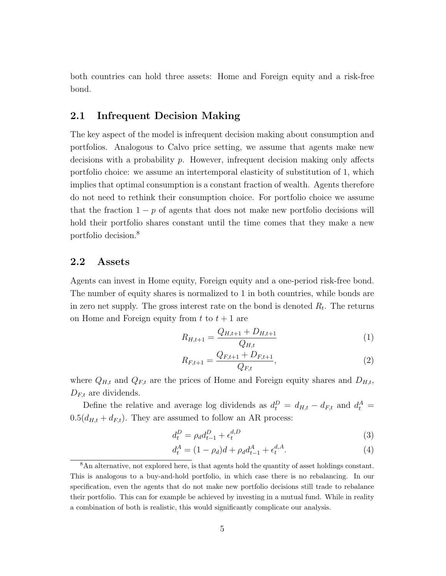both countries can hold three assets: Home and Foreign equity and a risk-free bond.

## 2.1 Infrequent Decision Making

The key aspect of the model is infrequent decision making about consumption and portfolios. Analogous to Calvo price setting, we assume that agents make new decisions with a probability  $p$ . However, infrequent decision making only affects portfolio choice: we assume an intertemporal elasticity of substitution of 1, which implies that optimal consumption is a constant fraction of wealth. Agents therefore do not need to rethink their consumption choice. For portfolio choice we assume that the fraction  $1 - p$  of agents that does not make new portfolio decisions will hold their portfolio shares constant until the time comes that they make a new portfolio decision.<sup>8</sup>

#### 2.2 Assets

Agents can invest in Home equity, Foreign equity and a one-period risk-free bond. The number of equity shares is normalized to 1 in both countries, while bonds are in zero net supply. The gross interest rate on the bond is denoted  $R_t$ . The returns on Home and Foreign equity from  $t$  to  $t + 1$  are

$$
R_{H,t+1} = \frac{Q_{H,t+1} + D_{H,t+1}}{Q_{H,t}} \tag{1}
$$

$$
R_{F,t+1} = \frac{Q_{F,t+1} + D_{F,t+1}}{Q_{F,t}},\tag{2}
$$

where  $Q_{H,t}$  and  $Q_{F,t}$  are the prices of Home and Foreign equity shares and  $D_{H,t}$ ,  $D_{F,t}$  are dividends.

Define the relative and average log dividends as  $d_t^D = d_{H,t} - d_{F,t}$  and  $d_t^A =$  $0.5(d_{H,t} + d_{F,t})$ . They are assumed to follow an AR process:

$$
d_t^D = \rho_d d_{t-1}^D + \epsilon_t^{d,D} \tag{3}
$$

$$
d_t^A = (1 - \rho_d)d + \rho_d d_{t-1}^A + \epsilon_t^{d,A}.
$$
\n(4)

<sup>8</sup>An alternative, not explored here, is that agents hold the quantity of asset holdings constant. This is analogous to a buy-and-hold portfolio, in which case there is no rebalancing. In our specification, even the agents that do not make new portfolio decisions still trade to rebalance their portfolio. This can for example be achieved by investing in a mutual fund. While in reality a combination of both is realistic, this would significantly complicate our analysis.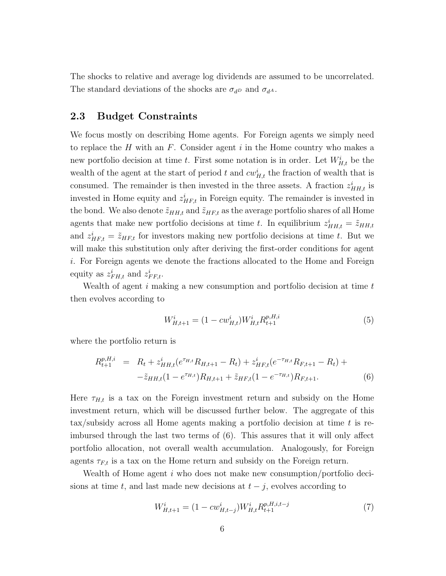The shocks to relative and average log dividends are assumed to be uncorrelated. The standard deviations of the shocks are  $\sigma_{d}$  and  $\sigma_{d}$ .

#### 2.3 Budget Constraints

We focus mostly on describing Home agents. For Foreign agents we simply need to replace the  $H$  with an  $F$ . Consider agent  $i$  in the Home country who makes a new portfolio decision at time t. First some notation is in order. Let  $W_{H,t}^{i}$  be the wealth of the agent at the start of period t and  $cw_{H,t}^i$  the fraction of wealth that is consumed. The remainder is then invested in the three assets. A fraction  $z_{HH,t}^i$  is invested in Home equity and  $z_{HF,t}^i$  in Foreign equity. The remainder is invested in the bond. We also denote  $\tilde{z}_{HH,t}$  and  $\tilde{z}_{HF,t}$  as the average portfolio shares of all Home agents that make new portfolio decisions at time t. In equilibrium  $z_{HH,t}^i = \tilde{z}_{HH,t}$ and  $z_{HF,t}^i = \tilde{z}_{HF,t}$  for investors making new portfolio decisions at time t. But we will make this substitution only after deriving the first-order conditions for agent i. For Foreign agents we denote the fractions allocated to the Home and Foreign equity as  $z_{FH,t}^i$  and  $z_{FF,t}^i$ .

Wealth of agent  $i$  making a new consumption and portfolio decision at time  $t$ then evolves according to

$$
W_{H,t+1}^i = (1 - cw_{H,t}^i) W_{H,t}^i R_{t+1}^{p,H,i}
$$
\n<sup>(5)</sup>

where the portfolio return is

$$
R_{t+1}^{p,H,i} = R_t + z_{HH,t}^i (e^{\tau_{H,t}} R_{H,t+1} - R_t) + z_{HF,t}^i (e^{-\tau_{H,t}} R_{F,t+1} - R_t) +
$$
  

$$
- \tilde{z}_{HH,t} (1 - e^{\tau_{H,t}}) R_{H,t+1} + \tilde{z}_{HF,t} (1 - e^{-\tau_{H,t}}) R_{F,t+1}.
$$
 (6)

Here  $\tau_{H,t}$  is a tax on the Foreign investment return and subsidy on the Home investment return, which will be discussed further below. The aggregate of this tax/subsidy across all Home agents making a portfolio decision at time t is reimbursed through the last two terms of (6). This assures that it will only affect portfolio allocation, not overall wealth accumulation. Analogously, for Foreign agents  $\tau_{F,t}$  is a tax on the Home return and subsidy on the Foreign return.

Wealth of Home agent i who does not make new consumption/portfolio decisions at time t, and last made new decisions at  $t - j$ , evolves according to

$$
W_{H,t+1}^i = (1 - cw_{H,t-j}^i) W_{H,t}^i R_{t+1}^{p,H,i,t-j}
$$
\n<sup>(7)</sup>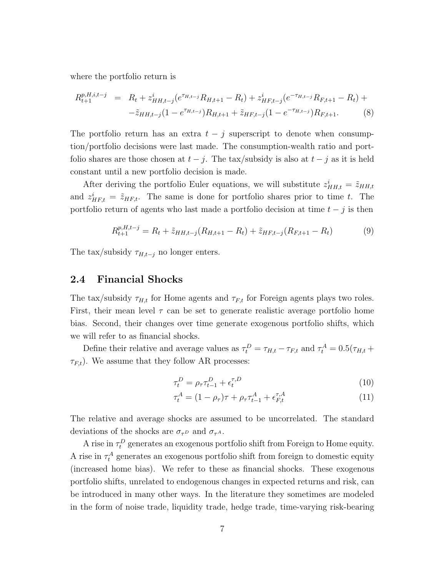where the portfolio return is

$$
R_{t+1}^{p,H,i,t-j} = R_t + z_{HH,t-j}^i (e^{\tau_{H,t-j}} R_{H,t+1} - R_t) + z_{HF,t-j}^i (e^{-\tau_{H,t-j}} R_{F,t+1} - R_t) +
$$
  

$$
- \tilde{z}_{HH,t-j} (1 - e^{\tau_{H,t-j}}) R_{H,t+1} + \tilde{z}_{HF,t-j} (1 - e^{-\tau_{H,t-j}}) R_{F,t+1}.
$$
 (8)

The portfolio return has an extra  $t - j$  superscript to denote when consumption/portfolio decisions were last made. The consumption-wealth ratio and portfolio shares are those chosen at  $t - j$ . The tax/subsidy is also at  $t - j$  as it is held constant until a new portfolio decision is made.

After deriving the portfolio Euler equations, we will substitute  $z_{HH,t}^i = \tilde{z}_{HH,t}$ and  $z_{HF,t}^i = \tilde{z}_{HF,t}$ . The same is done for portfolio shares prior to time t. The portfolio return of agents who last made a portfolio decision at time  $t - j$  is then

$$
R_{t+1}^{p,H,t-j} = R_t + \tilde{z}_{HH,t-j}(R_{H,t+1} - R_t) + \tilde{z}_{HF,t-j}(R_{F,t+1} - R_t)
$$
(9)

The tax/subsidy  $\tau_{H,t-j}$  no longer enters.

### 2.4 Financial Shocks

The tax/subsidy  $\tau_{H,t}$  for Home agents and  $\tau_{F,t}$  for Foreign agents plays two roles. First, their mean level  $\tau$  can be set to generate realistic average portfolio home bias. Second, their changes over time generate exogenous portfolio shifts, which we will refer to as financial shocks.

Define their relative and average values as  $\tau_t^D = \tau_{H,t} - \tau_{F,t}$  and  $\tau_t^A = 0.5(\tau_{H,t} +$  $\tau_{F,t}$ ). We assume that they follow AR processes:

$$
\tau_t^D = \rho_\tau \tau_{t-1}^D + \epsilon_t^{\tau, D} \tag{10}
$$

$$
\tau_t^A = (1 - \rho_\tau)\tau + \rho_\tau \tau_{t-1}^A + \epsilon_{F,t}^{\tau, A} \tag{11}
$$

The relative and average shocks are assumed to be uncorrelated. The standard deviations of the shocks are  $\sigma_{\tau^D}$  and  $\sigma_{\tau^A}$ .

A rise in  $\tau_t^D$  generates an exogenous portfolio shift from Foreign to Home equity. A rise in  $\tau_t^A$  generates an exogenous portfolio shift from foreign to domestic equity (increased home bias). We refer to these as financial shocks. These exogenous portfolio shifts, unrelated to endogenous changes in expected returns and risk, can be introduced in many other ways. In the literature they sometimes are modeled in the form of noise trade, liquidity trade, hedge trade, time-varying risk-bearing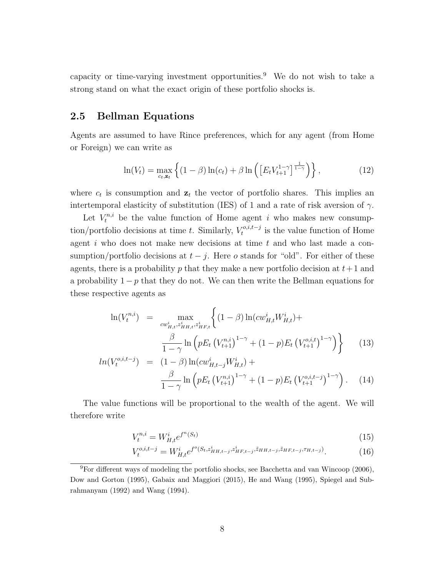capacity or time-varying investment opportunities.<sup>9</sup> We do not wish to take a strong stand on what the exact origin of these portfolio shocks is.

### 2.5 Bellman Equations

Agents are assumed to have Rince preferences, which for any agent (from Home or Foreign) we can write as

$$
\ln(V_t) = \max_{c_t, \mathbf{z}_t} \left\{ (1 - \beta) \ln(c_t) + \beta \ln\left( \left[ E_t V_{t+1}^{1-\gamma} \right]^{\frac{1}{1-\gamma}} \right) \right\},\tag{12}
$$

where  $c_t$  is consumption and  $z_t$  the vector of portfolio shares. This implies an intertemporal elasticity of substitution (IES) of 1 and a rate of risk aversion of  $\gamma$ .

Let  $V_t^{n,i}$  be the value function of Home agent i who makes new consumption/portfolio decisions at time t. Similarly,  $V_t^{o,i,t-j}$  $t^{o,i,t-j}$  is the value function of Home agent  $i$  who does not make new decisions at time  $t$  and who last made a consumption/portfolio decisions at  $t - j$ . Here o stands for "old". For either of these agents, there is a probability p that they make a new portfolio decision at  $t+1$  and a probability  $1 - p$  that they do not. We can then write the Bellman equations for these respective agents as

$$
\ln(V_t^{n,i}) = \max_{cw_{H,t}^i, z_{HH,t}^i, z_{HF,t}^i} \left\{ (1-\beta) \ln(cw_{H,t}^i W_{H,t}^i) + \frac{\beta}{1-\gamma} \ln \left( pE_t \left( V_{t+1}^{n,i} \right)^{1-\gamma} + (1-p)E_t \left( V_{t+1}^{o,i,t} \right)^{1-\gamma} \right) \right\}
$$
(13)

$$
ln(V_t^{o,i,t-j}) = (1 - \beta) ln(cw_{H,t-j}^i W_{H,t}^i) +
$$
  

$$
\frac{\beta}{1 - \gamma} ln\left( p E_t (V_{t+1}^{n,i})^{1-\gamma} + (1 - p) E_t (V_{t+1}^{o,i,t-j})^{1-\gamma} \right).
$$
 (14)

The value functions will be proportional to the wealth of the agent. We will therefore write

$$
V_t^{n,i} = W_{H,t}^i e^{f^n(S_t)} \tag{15}
$$

$$
V_t^{o,i,t-j} = W_{H,t}^i e^{f^o(S_t, z_{HH,t-j}^i, z_{HF,t-j}^i, \tilde{z}_{HH,t-j}, \tilde{z}_{HF,t-j}, \tau_{H,t-j})}.
$$
 (16)

<sup>9</sup>For different ways of modeling the portfolio shocks, see Bacchetta and van Wincoop (2006), Dow and Gorton (1995), Gabaix and Maggiori (2015), He and Wang (1995), Spiegel and Subrahmanyam (1992) and Wang (1994).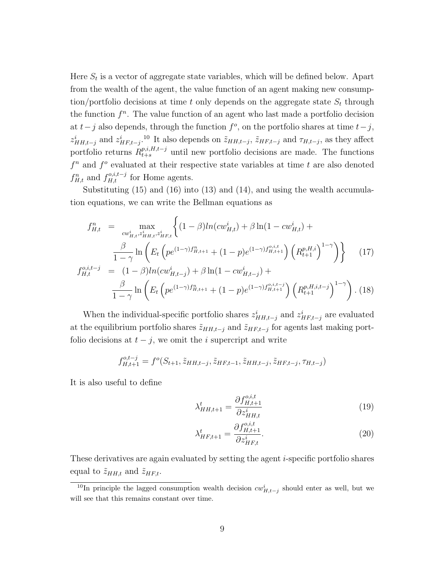Here  $S_t$  is a vector of aggregate state variables, which will be defined below. Apart from the wealth of the agent, the value function of an agent making new consumption/portfolio decisions at time t only depends on the aggregate state  $S_t$  through the function  $f<sup>n</sup>$ . The value function of an agent who last made a portfolio decision at  $t-j$  also depends, through the function  $f^o$ , on the portfolio shares at time  $t-j$ ,  $z_{HH,t-j}^i$  and  $z_{HF,t-j}^i$ .<sup>10</sup> It also depends on  $\tilde{z}_{HH,t-j}$ ,  $\tilde{z}_{HF,t-j}$  and  $\tau_{H,t-j}$ , as they affect portfolio returns  $R_{t+s}^{p,i,H,t-j}$  until new portfolio decisions are made. The functions  $f<sup>n</sup>$  and  $f<sup>o</sup>$  evaluated at their respective state variables at time t are also denoted  $f_{H,t}^n$  and  $f_{H,t}^{o,i,t-j}$  for Home agents.

Substituting (15) and (16) into (13) and (14), and using the wealth accumulation equations, we can write the Bellman equations as

$$
f_{H,t}^{n} = \max_{cw_{H,t}^{i}, z_{HH,t}^{i}, z_{HF,t}^{i}} \left\{ (1 - \beta)ln(cw_{H,t}^{i}) + \beta \ln(1 - cw_{H,t}^{i}) + \frac{\beta}{1 - \gamma} \ln\left(E_{t} \left( pe^{(1 - \gamma)f_{H,t+1}^{n} + (1 - p)e^{(1 - \gamma)f_{H,t+1}^{o,i,t}}\right) \left(R_{t+1}^{p,H,i}\right)^{1 - \gamma} \right) \right\} \tag{17}
$$

$$
f_{H,t}^{o,i,t-j} = (1 - \beta)ln(cw_{H,t-j}^{i}) + \beta \ln(1 - cw_{H,t-j}^{i}) + \frac{\beta}{1 - \gamma} \ln\left(E_{t} \left( pe^{(1 - \gamma)f_{H,t+1}^{n} + (1 - p)e^{(1 - \gamma)f_{H,t+1}^{o,i,t-j}}\right) \left(R_{t+1}^{p,H,i,t-j}\right)^{1 - \gamma} \right). \tag{18}
$$

When the individual-specific portfolio shares  $z_{HH,t-j}^i$  and  $z_{HF,t-j}^i$  are evaluated at the equilibrium portfolio shares  $\tilde{z}_{HH,t-j}$  and  $\tilde{z}_{HF,t-j}$  for agents last making portfolio decisions at  $t - j$ , we omit the i supercript and write

$$
f_{H,t+1}^{o,t-j} = f^o(S_{t+1}, \tilde{z}_{HH,t-j}, \tilde{z}_{HF,t-1}, \tilde{z}_{HH,t-j}, \tilde{z}_{HF,t-j}, \tau_{H,t-j})
$$

It is also useful to define

$$
\lambda_{HH,t+1}^t = \frac{\partial f_{H,t+1}^{o,i,t}}{\partial z_{HH,t}^i} \tag{19}
$$

$$
\lambda_{HF,t+1}^t = \frac{\partial f_{H,t+1}^{o,i,t}}{\partial z_{HF,t}^i}.
$$
\n(20)

These derivatives are again evaluated by setting the agent i-specific portfolio shares equal to  $\tilde{z}_{HH,t}$  and  $\tilde{z}_{HF,t}$ .

<sup>&</sup>lt;sup>10</sup>In principle the lagged consumption wealth decision  $cw_{H,t-j}^i$  should enter as well, but we will see that this remains constant over time.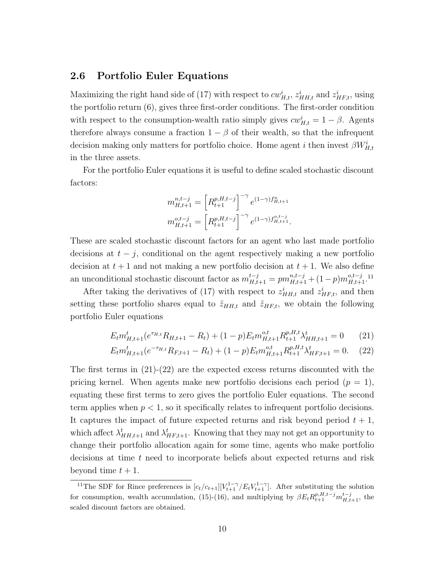### 2.6 Portfolio Euler Equations

Maximizing the right hand side of (17) with respect to  $cw_{H,t}^i$ ,  $z_{HH,t}^i$  and  $z_{HF,t}^i$ , using the portfolio return (6), gives three first-order conditions. The first-order condition with respect to the consumption-wealth ratio simply gives  $cw_{H,t}^i = 1 - \beta$ . Agents therefore always consume a fraction  $1 - \beta$  of their wealth, so that the infrequent decision making only matters for portfolio choice. Home agent i then invest  $\beta W_{H,t}^i$ in the three assets.

For the portfolio Euler equations it is useful to define scaled stochastic discount factors:

$$
m_{H,t+1}^{n,t-j} = \left[ R_{t+1}^{p,H,t-j} \right]^{-\gamma} e^{(1-\gamma)f_{H,t+1}^n}
$$

$$
m_{H,t+1}^{o,t-j} = \left[ R_{t+1}^{p,H,t-j} \right]^{-\gamma} e^{(1-\gamma)f_{H,t+1}^{o,t-j}}.
$$

These are scaled stochastic discount factors for an agent who last made portfolio decisions at  $t - j$ , conditional on the agent respectively making a new portfolio decision at  $t + 1$  and not making a new portfolio decision at  $t + 1$ . We also define an unconditional stochastic discount factor as  $m_{H,t+1}^{t-j} = pm_{H,t+1}^{n,t-j} + (1-p)m_{H,t+1}^{o,t-j}$ .<sup>11</sup>

After taking the derivatives of (17) with respect to  $z_{HH,t}^i$  and  $z_{HF,t}^i$ , and then setting these portfolio shares equal to  $\tilde{z}_{HH,t}$  and  $\tilde{z}_{HF,t}$ , we obtain the following portfolio Euler equations

$$
E_t m_{H,t+1}^t (e^{\tau_{H,t}} R_{H,t+1} - R_t) + (1-p) E_t m_{H,t+1}^{o,t} R_{t+1}^{p,H,t} \lambda_{HH,t+1}^t = 0 \qquad (21)
$$

$$
E_t m_{H,t+1}^t (e^{-\tau_{H,t}} R_{F,t+1} - R_t) + (1 - p) E_t m_{H,t+1}^{o,t} R_{t+1}^{p,H,t} \lambda_{HF,t+1}^t = 0. \tag{22}
$$

The first terms in  $(21)-(22)$  are the expected excess returns discounted with the pricing kernel. When agents make new portfolio decisions each period  $(p = 1)$ , equating these first terms to zero gives the portfolio Euler equations. The second term applies when  $p < 1$ , so it specifically relates to infrequent portfolio decisions. It captures the impact of future expected returns and risk beyond period  $t + 1$ , which affect  $\lambda_{HH,t+1}^t$  and  $\lambda_{HF,t+1}^t$ . Knowing that they may not get an opportunity to change their portfolio allocation again for some time, agents who make portfolio decisions at time t need to incorporate beliefs about expected returns and risk beyond time  $t + 1$ .

<sup>&</sup>lt;sup>11</sup>The SDF for Rince preferences is  $[c_t/c_{t+1}][V_{t+1}^{1-\gamma}/E_tV_{t+1}^{1-\gamma}]$ . After substituting the solution for consumption, wealth accumulation, (15)-(16), and multiplying by  $\beta E_t R_{t+1}^{p,H,t-j} m_{H,t+1}^{t-j}$ , the scaled discount factors are obtained.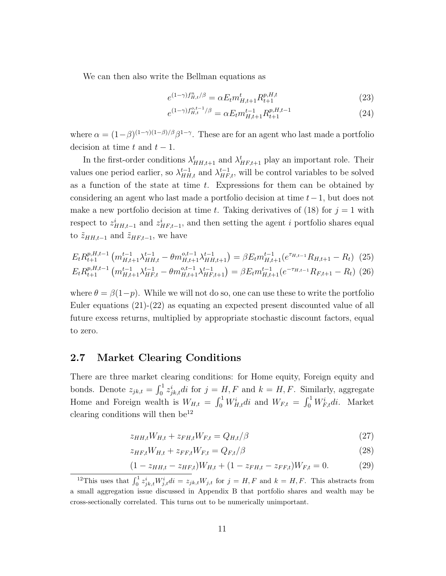We can then also write the Bellman equations as

$$
e^{(1-\gamma)f_{H,t}^n/\beta} = \alpha E_t m_{H,t+1}^t R_{t+1}^{p,H,t}
$$
\n(23)

$$
e^{(1-\gamma)f_{H,t}^{o,t-1}/\beta} = \alpha E_t m_{H,t+1}^{t-1} R_{t+1}^{p,H,t-1}
$$
\n(24)

where  $\alpha = (1-\beta)^{(1-\gamma)(1-\beta)/\beta} \beta^{1-\gamma}$ . These are for an agent who last made a portfolio decision at time t and  $t - 1$ .

In the first-order conditions  $\lambda_{HH,t+1}^t$  and  $\lambda_{HF,t+1}^t$  play an important role. Their values one period earlier, so  $\lambda_{HH,t}^{t-1}$  and  $\lambda_{HF,t}^{t-1}$ , will be control variables to be solved as a function of the state at time  $t$ . Expressions for them can be obtained by considering an agent who last made a portfolio decision at time  $t-1$ , but does not make a new portfolio decision at time t. Taking derivatives of (18) for  $j = 1$  with respect to  $z_{HH,t-1}^i$  and  $z_{HF,t-1}^i$ , and then setting the agent i portfolio shares equal to  $\tilde{z}_{HH,t-1}$  and  $\tilde{z}_{HF,t-1}$ , we have

$$
E_t R_{t+1}^{p,H,t-1} \left( m_{H,t+1}^{t-1} \lambda_{HH,t}^{t-1} - \theta m_{H,t+1}^{o,t-1} \lambda_{HH,t+1}^{t-1} \right) = \beta E_t m_{H,t+1}^{t-1} (e^{\tau_{H,t-1}} R_{H,t+1} - R_t) \tag{25}
$$
  

$$
E_t R_{t+1}^{p,H,t-1} \left( m_{H,t+1}^{t-1} \lambda_{HF,t}^{t-1} - \theta m_{H,t+1}^{o,t-1} \lambda_{HF,t+1}^{t-1} \right) = \beta E_t m_{H,t+1}^{t-1} (e^{-\tau_{H,t-1}} R_{F,t+1} - R_t) \tag{26}
$$

where  $\theta = \beta(1-p)$ . While we will not do so, one can use these to write the portfolio Euler equations (21)-(22) as equating an expected present discounted value of all future excess returns, multiplied by appropriate stochastic discount factors, equal to zero.

## 2.7 Market Clearing Conditions

There are three market clearing conditions: for Home equity, Foreign equity and bonds. Denote  $z_{jk,t} = \int_0^1 z_{jk,t}^i dt$  for  $j = H, F$  and  $k = H, F$ . Similarly, aggregate Home and Foreign wealth is  $W_{H,t} = \int_0^1 W_{H,t}^i dt$  and  $W_{F,t} = \int_0^1 W_{F,t}^i dt$ . Market clearing conditions will then  $be^{12}$ 

$$
z_{HH,t}W_{H,t} + z_{FH,t}W_{F,t} = Q_{H,t}/\beta
$$
\n
$$
(27)
$$

$$
z_{HF,t}W_{H,t} + z_{FF,t}W_{F,t} = Q_{F,t}/\beta
$$
\n
$$
(28)
$$

$$
(1 - z_{HH,t} - z_{HF,t})W_{H,t} + (1 - z_{FH,t} - z_{FF,t})W_{F,t} = 0.
$$
 (29)

<sup>&</sup>lt;sup>12</sup>This uses that  $\int_0^1 z_{jk,t}^i W_{j,t}^i dt = z_{jk,t} W_{j,t}$  for  $j = H, F$  and  $k = H, F$ . This abstracts from a small aggregation issue discussed in Appendix B that portfolio shares and wealth may be cross-sectionally correlated. This turns out to be numerically unimportant.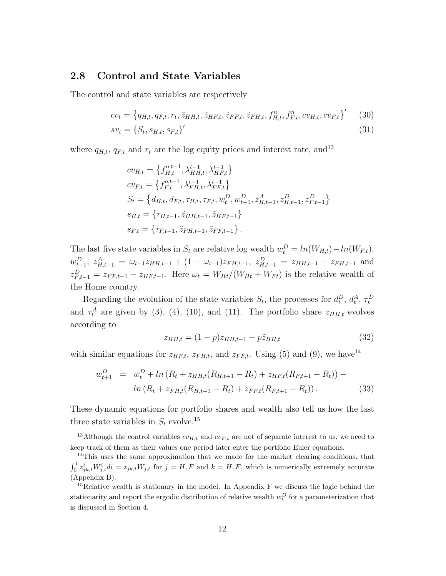#### 2.8 Control and State Variables

The control and state variables are respectively

$$
cv_t = \left\{ q_{H,t}, q_{F,t}, r_t, \tilde{z}_{HH,t}, \tilde{z}_{HF,t}, \tilde{z}_{FF,t}, \tilde{z}_{FH,t}, f^n_{H,t}, f^n_{F,t}, cv_{H,t}, cv_{F,t} \right\}' \tag{30}
$$

$$
sv_t = \{S_t, s_{H,t}, s_{F,t}\}'\tag{31}
$$

where  $q_{H,t}$ ,  $q_{F,t}$  and  $r_t$  are the log equity prices and interest rate, and<sup>13</sup>

$$
cv_{H,t} = \left\{ f_{H,t}^{o,t-1}, \lambda_{HH,t}^{t-1}, \lambda_{HF,t}^{t-1} \right\}
$$
  
\n
$$
cv_{F,t} = \left\{ f_{F,t}^{o,t-1}, \lambda_{FH,t}^{t-1}, \lambda_{FF,t}^{t-1} \right\}
$$
  
\n
$$
S_t = \left\{ d_{H,t}, d_{F,t}, \tau_{H,t}, \tau_{F,t}, w_t^D, w_{t-1}^D, z_{H,t-1}^A, z_{H,t-1}^D, z_{F,t-1}^D \right\}
$$
  
\n
$$
s_{H,t} = \left\{ \tau_{H,t-1}, \tilde{z}_{HH,t-1}, \tilde{z}_{HF,t-1} \right\}
$$
  
\n
$$
s_{F,t} = \left\{ \tau_{F,t-1}, \tilde{z}_{FH,t-1}, \tilde{z}_{FF,t-1} \right\}.
$$

The last five state variables in  $S_t$  are relative log wealth  $w_t^D = ln(W_{H,t}) - ln(W_{F,t}),$  $w_{t-1}^D$ ,  $z_{H,t-1}^A = \omega_{t-1} z_{HH,t-1} + (1 - \omega_{t-1}) z_{FH,t-1}$ ,  $z_{H,t-1}^D = z_{HH,t-1} - z_{FH,t-1}$  and  $z_{F,t-1}^D = z_{FF,t-1} - z_{HF,t-1}$ . Here  $\omega_t = W_{Ht}/(W_{Ht} + W_{Ft})$  is the relative wealth of the Home country.

Regarding the evolution of the state variables  $S_t$ , the processes for  $d_t^D$ ,  $d_t^A$ ,  $\tau_t^D$ and  $\tau_t^A$  are given by (3), (4), (10), and (11). The portfolio share  $z_{HH,t}$  evolves according to

$$
z_{HH,t} = (1 - p)z_{HH,t-1} + p\tilde{z}_{HH,t}
$$
\n(32)

with similar equations for  $z_{HF,t}$ ,  $z_{FH,t}$ , and  $z_{FF,t}$ . Using (5) and (9), we have<sup>14</sup>

$$
w_{t+1}^D = w_t^D + \ln(R_t + z_{HH,t}(R_{H,t+1} - R_t) + z_{HF,t}(R_{F,t+1} - R_t)) - \ln(R_t + z_{FH,t}(R_{H,t+1} - R_t) + z_{FF,t}(R_{F,t+1} - R_t)).
$$
\n(33)

These dynamic equations for portfolio shares and wealth also tell us how the last three state variables in  $S_t$  evolve.<sup>15</sup>

<sup>&</sup>lt;sup>13</sup>Although the control variables  $cv_{H,t}$  and  $cv_{F,t}$  are not of separate interest to us, we need to keep track of them as their values one period later enter the portfolio Euler equations.

<sup>&</sup>lt;sup>14</sup>This uses the same approximation that we made for the market clearing conditions, that  $\int_0^1 z_{jk,t}^i W_{j,t}^i di = z_{jk,t}W_{j,t}$  for  $j = H, F$  and  $k = H, F$ , which is numerically extremely accurate (Appendix B).

<sup>&</sup>lt;sup>15</sup>Relative wealth is stationary in the model. In Appendix F we discuss the logic behind the stationarity and report the ergodic distribution of relative wealth  $w_t^D$  for a parameterization that is discussed in Section 4.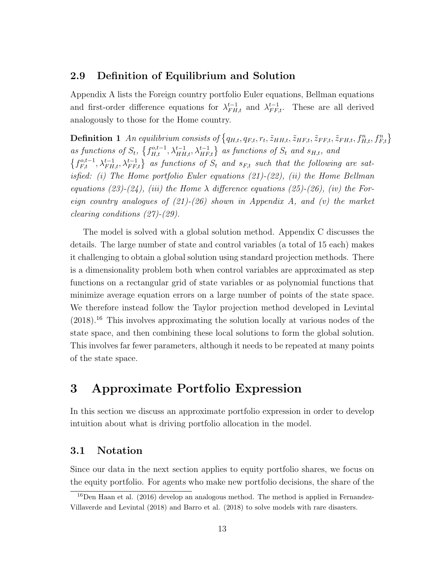## 2.9 Definition of Equilibrium and Solution

Appendix A lists the Foreign country portfolio Euler equations, Bellman equations and first-order difference equations for  $\lambda_{FH,t}^{t-1}$  and  $\lambda_{FF,t}^{t-1}$ . These are all derived analogously to those for the Home country.

**Definition 1** An equilibrium consists of  $\{q_{H,t}, q_{F,t}, r_t, \tilde{z}_{HH,t}, \tilde{z}_{HF,t}, \tilde{z}_{FH,t}, f_{H,t}^n, f_{F,t}^n\}$ as functions of  $S_t$ ,  $\{f_{H,t}^{o,t-1}, \lambda_{HH,t}^{t-1}, \lambda_{HF,t}^{t-1}\}$  as functions of  $S_t$  and  $s_{H,t}$ , and  $\{f_{F,t}^{\text{o},t-1}, \lambda_{FH,t}^{t-1}, \lambda_{FF,t}^{t-1}\}$  as functions of  $S_t$  and  $s_{F,t}$  such that the following are satisfied: (i) The Home portfolio Euler equations (21)-(22), (ii) the Home Bellman equations (23)-(24), (iii) the Home  $\lambda$  difference equations (25)-(26), (iv) the Foreign country analogues of  $(21)-(26)$  shown in Appendix A, and (v) the market clearing conditions (27)-(29).

The model is solved with a global solution method. Appendix C discusses the details. The large number of state and control variables (a total of 15 each) makes it challenging to obtain a global solution using standard projection methods. There is a dimensionality problem both when control variables are approximated as step functions on a rectangular grid of state variables or as polynomial functions that minimize average equation errors on a large number of points of the state space. We therefore instead follow the Taylor projection method developed in Levintal  $(2018).$ <sup>16</sup> This involves approximating the solution locally at various nodes of the state space, and then combining these local solutions to form the global solution. This involves far fewer parameters, although it needs to be repeated at many points of the state space.

## 3 Approximate Portfolio Expression

In this section we discuss an approximate portfolio expression in order to develop intuition about what is driving portfolio allocation in the model.

### 3.1 Notation

Since our data in the next section applies to equity portfolio shares, we focus on the equity portfolio. For agents who make new portfolio decisions, the share of the

<sup>&</sup>lt;sup>16</sup>Den Haan et al. (2016) develop an analogous method. The method is applied in Fernandez-Villaverde and Levintal (2018) and Barro et al. (2018) to solve models with rare disasters.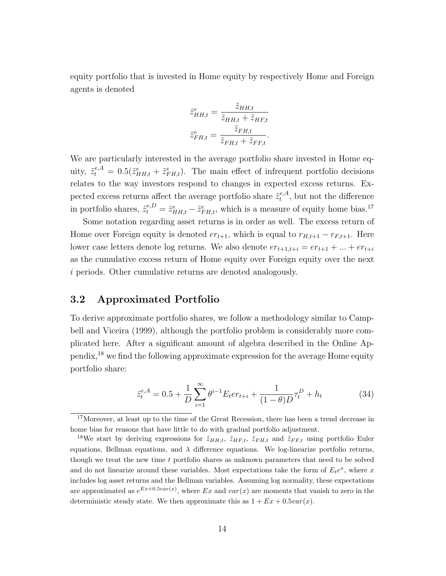equity portfolio that is invested in Home equity by respectively Home and Foreign agents is denoted

$$
\tilde{z}_{HH,t}^{e} = \frac{\tilde{z}_{HH,t}}{\tilde{z}_{HH,t} + \tilde{z}_{HF,t}}
$$

$$
\tilde{z}_{FH,t}^{e} = \frac{\tilde{z}_{FH,t}}{\tilde{z}_{FH,t} + \tilde{z}_{FF,t}}.
$$

We are particularly interested in the average portfolio share invested in Home equity,  $\tilde{z}_t^{e,A} = 0.5(\tilde{z}_{HH,t}^e + \tilde{z}_{FH,t}^e)$ . The main effect of infrequent portfolio decisions relates to the way investors respond to changes in expected excess returns. Expected excess returns affect the average portfolio share  $\tilde{z}^{e,A}_t$  $t^{e,A}_t$ , but not the difference in portfolio shares,  $\tilde{z}_t^{e,D} = \tilde{z}_{HH,t}^e - \tilde{z}_{FH,t}^e$ , which is a measure of equity home bias.<sup>17</sup>

Some notation regarding asset returns is in order as well. The excess return of Home over Foreign equity is denoted  $er_{t+1}$ , which is equal to  $r_{H,t+1} - r_{F,t+1}$ . Here lower case letters denote log returns. We also denote  $er_{t+1,t+i} = er_{t+1} + \ldots + er_{t+i}$ as the cumulative excess return of Home equity over Foreign equity over the next i periods. Other cumulative returns are denoted analogously.

## 3.2 Approximated Portfolio

To derive approximate portfolio shares, we follow a methodology similar to Campbell and Viceira (1999), although the portfolio problem is considerably more complicated here. After a significant amount of algebra described in the Online Appendix,<sup>18</sup> we find the following approximate expression for the average Home equity portfolio share:

$$
\tilde{z}_t^{e,A} = 0.5 + \frac{1}{D} \sum_{i=1}^{\infty} \theta^{i-1} E_t er_{t+i} + \frac{1}{(1-\theta)D} \tau_t^D + h_t
$$
\n(34)

<sup>&</sup>lt;sup>17</sup>Moreover, at least up to the time of the Great Recession, there has been a trend decrease in home bias for reasons that have little to do with gradual portfolio adjustment.

<sup>&</sup>lt;sup>18</sup>We start by deriving expressions for  $\tilde{z}_{HH,t}$ ,  $\tilde{z}_{HF,t}$ ,  $\tilde{z}_{FH,t}$  and  $\tilde{z}_{FF,t}$  using portfolio Euler equations, Bellman equations, and  $\lambda$  difference equations. We log-linearize portfolio returns, though we treat the new time t portfolio shares as unknown parameters that need to be solved and do not linearize around these variables. Most expectations take the form of  $E_t e^x$ , where x includes log asset returns and the Bellman variables. Assuming log normality, these expectations are approximated as  $e^{Ex+0.5var(x)}$ , where Ex and  $var(x)$  are moments that vanish to zero in the deterministic steady state. We then approximate this as  $1 + Ex + 0.5var(x)$ .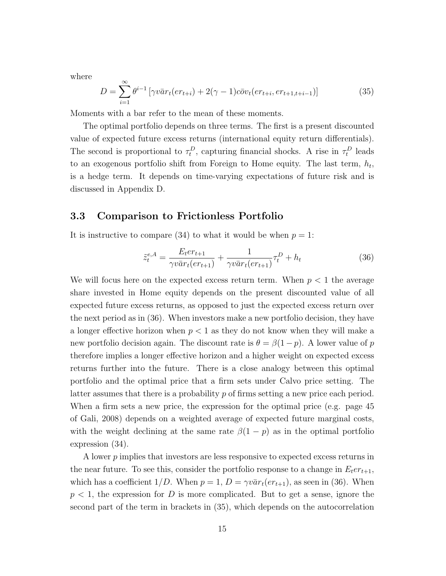where

$$
D = \sum_{i=1}^{\infty} \theta^{i-1} \left[ \gamma v \bar{a} r_t (e r_{t+i}) + 2(\gamma - 1) c \bar{b} v_t (e r_{t+i}, e r_{t+1, t+i-1}) \right]
$$
(35)

Moments with a bar refer to the mean of these moments.

The optimal portfolio depends on three terms. The first is a present discounted value of expected future excess returns (international equity return differentials). The second is proportional to  $\tau_t^D$ , capturing financial shocks. A rise in  $\tau_t^D$  leads to an exogenous portfolio shift from Foreign to Home equity. The last term,  $h_t$ , is a hedge term. It depends on time-varying expectations of future risk and is discussed in Appendix D.

### 3.3 Comparison to Frictionless Portfolio

It is instructive to compare (34) to what it would be when  $p = 1$ :

$$
\tilde{z}_{t}^{e,A} = \frac{E_{t}er_{t+1}}{\gamma v \bar{a}r_{t}(er_{t+1})} + \frac{1}{\gamma v \bar{a}r_{t}(er_{t+1})} \tau_{t}^{D} + h_{t}
$$
\n(36)

We will focus here on the expected excess return term. When  $p < 1$  the average share invested in Home equity depends on the present discounted value of all expected future excess returns, as opposed to just the expected excess return over the next period as in (36). When investors make a new portfolio decision, they have a longer effective horizon when  $p < 1$  as they do not know when they will make a new portfolio decision again. The discount rate is  $\theta = \beta(1-p)$ . A lower value of p therefore implies a longer effective horizon and a higher weight on expected excess returns further into the future. There is a close analogy between this optimal portfolio and the optimal price that a firm sets under Calvo price setting. The latter assumes that there is a probability  $p$  of firms setting a new price each period. When a firm sets a new price, the expression for the optimal price (e.g. page 45 of Gali, 2008) depends on a weighted average of expected future marginal costs, with the weight declining at the same rate  $\beta(1-p)$  as in the optimal portfolio expression (34).

A lower p implies that investors are less responsive to expected excess returns in the near future. To see this, consider the portfolio response to a change in  $E_t er_{t+1}$ , which has a coefficient  $1/D$ . When  $p = 1$ ,  $D = \gamma v \bar{a} r_t (er_{t+1})$ , as seen in (36). When  $p < 1$ , the expression for D is more complicated. But to get a sense, ignore the second part of the term in brackets in (35), which depends on the autocorrelation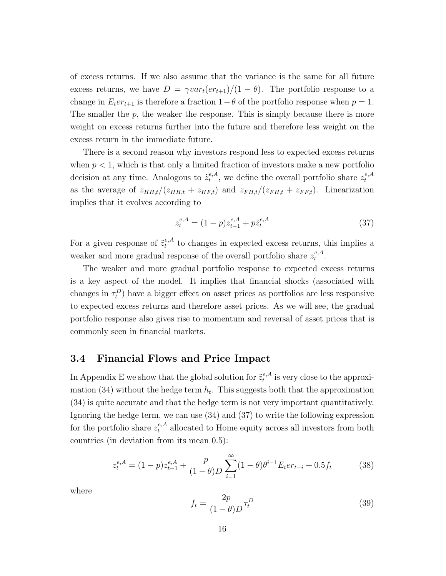of excess returns. If we also assume that the variance is the same for all future excess returns, we have  $D = \gamma var_t(er_{t+1})/(1 - \theta)$ . The portfolio response to a change in  $E_t$ er<sub>t+1</sub> is therefore a fraction 1− $\theta$  of the portfolio response when  $p = 1$ . The smaller the  $p$ , the weaker the response. This is simply because there is more weight on excess returns further into the future and therefore less weight on the excess return in the immediate future.

There is a second reason why investors respond less to expected excess returns when  $p < 1$ , which is that only a limited fraction of investors make a new portfolio decision at any time. Analogous to  $\tilde{z}^{\epsilon,A}_{t}$  $t_t^{e,A}$ , we define the overall portfolio share  $z_t^{e,A}$ t as the average of  $z_{HH,t}/(z_{HH,t} + z_{HF,t})$  and  $z_{FH,t}/(z_{FH,t} + z_{FF,t})$ . Linearization implies that it evolves according to

$$
z_t^{e,A} = (1-p)z_{t-1}^{e,A} + p\tilde{z}_t^{e,A}
$$
\n(37)

For a given response of  $\tilde{z}_t^{e,A}$  $t_t^{e,A}$  to changes in expected excess returns, this implies a weaker and more gradual response of the overall portfolio share  $z_t^{e,A}$  $_t^{e,A}.$ 

The weaker and more gradual portfolio response to expected excess returns is a key aspect of the model. It implies that financial shocks (associated with changes in  $\tau_t^D$ ) have a bigger effect on asset prices as portfolios are less responsive to expected excess returns and therefore asset prices. As we will see, the gradual portfolio response also gives rise to momentum and reversal of asset prices that is commonly seen in financial markets.

#### 3.4 Financial Flows and Price Impact

In Appendix E we show that the global solution for  $\tilde{z}^{e,A}_t$  $t^{e,A}_t$  is very close to the approximation (34) without the hedge term  $h_t$ . This suggests both that the approximation (34) is quite accurate and that the hedge term is not very important quantitatively. Ignoring the hedge term, we can use (34) and (37) to write the following expression for the portfolio share  $z_t^{e,A}$  allocated to Home equity across all investors from both countries (in deviation from its mean 0.5):

$$
z_t^{e,A} = (1-p)z_{t-1}^{e,A} + \frac{p}{(1-\theta)D} \sum_{i=1}^{\infty} (1-\theta)\theta^{i-1} E_t er_{t+i} + 0.5f_t \tag{38}
$$

where

$$
f_t = \frac{2p}{(1-\theta)D} \tau_t^D \tag{39}
$$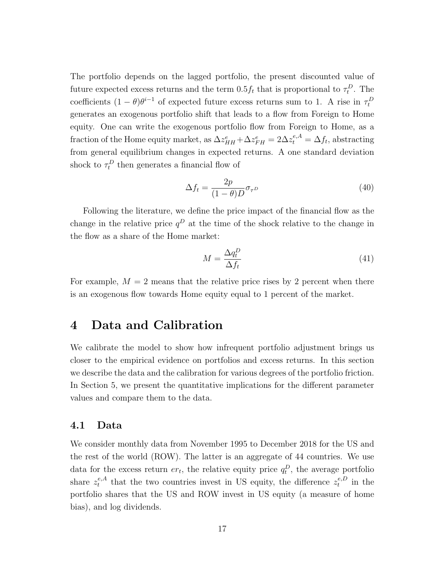The portfolio depends on the lagged portfolio, the present discounted value of future expected excess returns and the term  $0.5f_t$  that is proportional to  $\tau_t^D$ . The coefficients  $(1 - \theta)\theta^{i-1}$  of expected future excess returns sum to 1. A rise in  $\tau_t^D$ generates an exogenous portfolio shift that leads to a flow from Foreign to Home equity. One can write the exogenous portfolio flow from Foreign to Home, as a fraction of the Home equity market, as  $\Delta z_{HH}^e + \Delta z_{FH}^e = 2\Delta z_t^{e,A} = \Delta f_t$ , abstracting from general equilibrium changes in expected returns. A one standard deviation shock to  $\tau_t^D$  then generates a financial flow of

$$
\Delta f_t = \frac{2p}{(1-\theta)D} \sigma_{\tau^D}
$$
\n(40)

Following the literature, we define the price impact of the financial flow as the change in the relative price  $q^D$  at the time of the shock relative to the change in the flow as a share of the Home market:

$$
M = \frac{\Delta q_t^D}{\Delta f_t} \tag{41}
$$

For example,  $M = 2$  means that the relative price rises by 2 percent when there is an exogenous flow towards Home equity equal to 1 percent of the market.

## 4 Data and Calibration

We calibrate the model to show how infrequent portfolio adjustment brings us closer to the empirical evidence on portfolios and excess returns. In this section we describe the data and the calibration for various degrees of the portfolio friction. In Section 5, we present the quantitative implications for the different parameter values and compare them to the data.

#### 4.1 Data

We consider monthly data from November 1995 to December 2018 for the US and the rest of the world (ROW). The latter is an aggregate of 44 countries. We use data for the excess return  $er_t$ , the relative equity price  $q_t^D$ , the average portfolio share  $z_t^{e,A}$  $t_t^{e,A}$  that the two countries invest in US equity, the difference  $z_t^{e,D}$  $t^{e,D}$  in the portfolio shares that the US and ROW invest in US equity (a measure of home bias), and log dividends.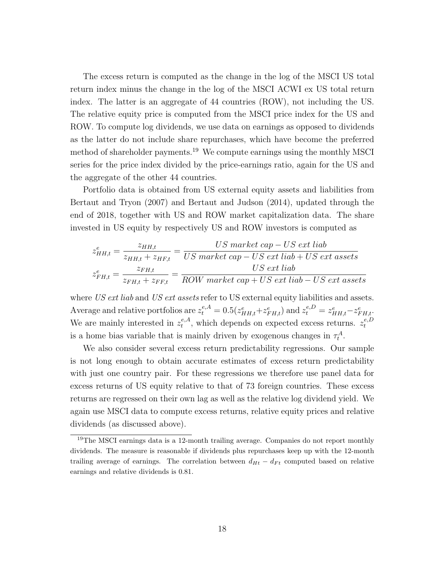The excess return is computed as the change in the log of the MSCI US total return index minus the change in the log of the MSCI ACWI ex US total return index. The latter is an aggregate of 44 countries (ROW), not including the US. The relative equity price is computed from the MSCI price index for the US and ROW. To compute log dividends, we use data on earnings as opposed to dividends as the latter do not include share repurchases, which have become the preferred method of shareholder payments.<sup>19</sup> We compute earnings using the monthly MSCI series for the price index divided by the price-earnings ratio, again for the US and the aggregate of the other 44 countries.

Portfolio data is obtained from US external equity assets and liabilities from Bertaut and Tryon (2007) and Bertaut and Judson (2014), updated through the end of 2018, together with US and ROW market capitalization data. The share invested in US equity by respectively US and ROW investors is computed as

$$
z_{HH,t}^{e} = \frac{z_{HH,t}}{z_{HH,t} + z_{HF,t}} = \frac{US \ market \ cap - US \ ext \ lib}{US \ market \ cap - US \ ext \ lib + US \ ext \ assets}
$$

$$
z_{FH,t}^{e} = \frac{z_{FH,t}}{z_{FH,t} + z_{FF,t}} = \frac{US \ market \ cap - US \ ext \ lib}{ROW \ market \ cap + US \ ext \ lib - US \ ext \ assets}
$$

where US ext liab and US ext assets refer to US external equity liabilities and assets. Average and relative portfolios are  $z_t^{e,A} = 0.5(z_{HH,t}^e + z_{FH,t}^e)$  and  $z_t^{e,D} = z_{HH,t}^e - z_{FH,t}^e$ . We are mainly interested in  $z_t^{e,A}$  $t_t^{e,A}$ , which depends on expected excess returns.  $z_t^{e,D}$ t is a home bias variable that is mainly driven by exogenous changes in  $\tau_t^A$ .

We also consider several excess return predictability regressions. Our sample is not long enough to obtain accurate estimates of excess return predictability with just one country pair. For these regressions we therefore use panel data for excess returns of US equity relative to that of 73 foreign countries. These excess returns are regressed on their own lag as well as the relative log dividend yield. We again use MSCI data to compute excess returns, relative equity prices and relative dividends (as discussed above).

<sup>&</sup>lt;sup>19</sup>The MSCI earnings data is a 12-month trailing average. Companies do not report monthly dividends. The measure is reasonable if dividends plus repurchases keep up with the 12-month trailing average of earnings. The correlation between  $d_{Ht} - d_{Ft}$  computed based on relative earnings and relative dividends is 0.81.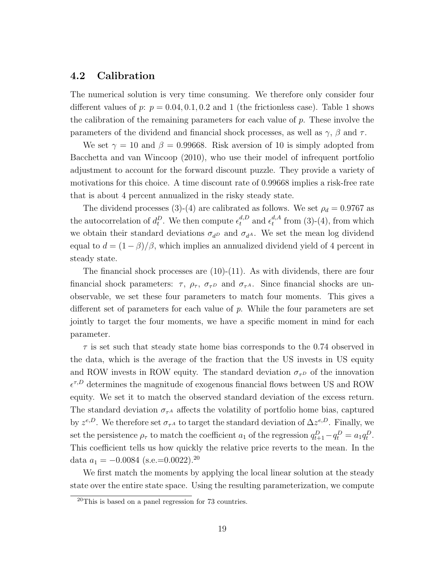## 4.2 Calibration

The numerical solution is very time consuming. We therefore only consider four different values of p:  $p = 0.04, 0.1, 0.2$  and 1 (the frictionless case). Table 1 shows the calibration of the remaining parameters for each value of  $p$ . These involve the parameters of the dividend and financial shock processes, as well as  $\gamma$ ,  $\beta$  and  $\tau$ .

We set  $\gamma = 10$  and  $\beta = 0.99668$ . Risk aversion of 10 is simply adopted from Bacchetta and van Wincoop (2010), who use their model of infrequent portfolio adjustment to account for the forward discount puzzle. They provide a variety of motivations for this choice. A time discount rate of 0.99668 implies a risk-free rate that is about 4 percent annualized in the risky steady state.

The dividend processes (3)-(4) are calibrated as follows. We set  $\rho_d = 0.9767$  as the autocorrelation of  $d_t^D$ . We then compute  $\epsilon_t^{d,D}$  and  $\epsilon_t^{d,A}$  $t^{d,A}_t$  from (3)-(4), from which we obtain their standard deviations  $\sigma_{d}$  and  $\sigma_{d}$ . We set the mean log dividend equal to  $d = (1 - \beta)/\beta$ , which implies an annualized dividend yield of 4 percent in steady state.

The financial shock processes are  $(10)-(11)$ . As with dividends, there are four financial shock parameters:  $\tau$ ,  $\rho_{\tau}$ ,  $\sigma_{\tau}$  and  $\sigma_{\tau}$ . Since financial shocks are unobservable, we set these four parameters to match four moments. This gives a different set of parameters for each value of p. While the four parameters are set jointly to target the four moments, we have a specific moment in mind for each parameter.

 $\tau$  is set such that steady state home bias corresponds to the 0.74 observed in the data, which is the average of the fraction that the US invests in US equity and ROW invests in ROW equity. The standard deviation  $\sigma_{\tau}$  of the innovation  $\epsilon^{\tau,D}$  determines the magnitude of exogenous financial flows between US and ROW equity. We set it to match the observed standard deviation of the excess return. The standard deviation  $\sigma_{\tau^A}$  affects the volatility of portfolio home bias, captured by  $z^{e,D}$ . We therefore set  $\sigma_{\tau^A}$  to target the standard deviation of  $\Delta z^{e,D}$ . Finally, we set the persistence  $\rho_{\tau}$  to match the coefficient  $a_1$  of the regression  $q_{t+1}^D - q_t^D = a_1 q_t^D$ . This coefficient tells us how quickly the relative price reverts to the mean. In the data  $a_1 = -0.0084$  (s.e.=0.0022).<sup>20</sup>

We first match the moments by applying the local linear solution at the steady state over the entire state space. Using the resulting parameterization, we compute

 $^{20}$ This is based on a panel regression for 73 countries.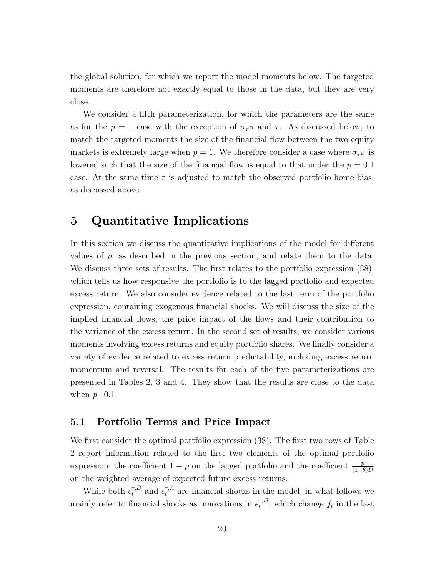the global solution, for which we report the model moments below. The targeted moments are therefore not exactly equal to those in the data, but they are very close.

We consider a fifth parameterization, for which the parameters are the same as for the  $p = 1$  case with the exception of  $\sigma_{\tau}$  and  $\tau$ . As discussed below, to match the targeted moments the size of the financial flow between the two equity markets is extremely large when  $p = 1$ . We therefore consider a case where  $\sigma_{\tau}$  is lowered such that the size of the financial flow is equal to that under the  $p = 0.1$ case. At the same time  $\tau$  is adjusted to match the observed portfolio home bias, as discussed above.

## 5 Quantitative Implications

In this section we discuss the quantitative implications of the model for different values of  $p$ , as described in the previous section, and relate them to the data. We discuss three sets of results. The first relates to the portfolio expression (38), which tells us how responsive the portfolio is to the lagged portfolio and expected excess return. We also consider evidence related to the last term of the portfolio expression, containing exogenous financial shocks. We will discuss the size of the implied financial flows, the price impact of the flows and their contribution to the variance of the excess return. In the second set of results, we consider various moments involving excess returns and equity portfolio shares. We finally consider a variety of evidence related to excess return predictability, including excess return momentum and reversal. The results for each of the five parameterizations are presented in Tables 2, 3 and 4. They show that the results are close to the data when  $p=0.1$ .

### 5.1 Portfolio Terms and Price Impact

We first consider the optimal portfolio expression (38). The first two rows of Table 2 report information related to the first two elements of the optimal portfolio expression: the coefficient  $1 - p$  on the lagged portfolio and the coefficient  $\frac{p}{(1-\theta)D}$ on the weighted average of expected future excess returns.

While both  $\epsilon_t^{\tau,D}$  and  $\epsilon_t^{\tau,A}$  are financial shocks in the model, in what follows we mainly refer to financial shocks as innovations in  $\epsilon_t^{\tau,D}$  $t_t^{\tau,D}$ , which change  $f_t$  in the last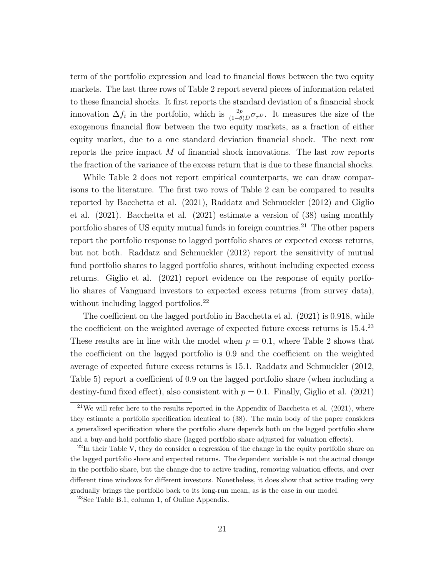term of the portfolio expression and lead to financial flows between the two equity markets. The last three rows of Table 2 report several pieces of information related to these financial shocks. It first reports the standard deviation of a financial shock innovation  $\Delta f_t$  in the portfolio, which is  $\frac{2p}{(1-\theta)D}\sigma_{\tau}$ . It measures the size of the exogenous financial flow between the two equity markets, as a fraction of either equity market, due to a one standard deviation financial shock. The next row reports the price impact M of financial shock innovations. The last row reports the fraction of the variance of the excess return that is due to these financial shocks.

While Table 2 does not report empirical counterparts, we can draw comparisons to the literature. The first two rows of Table 2 can be compared to results reported by Bacchetta et al. (2021), Raddatz and Schmuckler (2012) and Giglio et al. (2021). Bacchetta et al. (2021) estimate a version of (38) using monthly portfolio shares of US equity mutual funds in foreign countries.<sup>21</sup> The other papers report the portfolio response to lagged portfolio shares or expected excess returns, but not both. Raddatz and Schmuckler (2012) report the sensitivity of mutual fund portfolio shares to lagged portfolio shares, without including expected excess returns. Giglio et al. (2021) report evidence on the response of equity portfolio shares of Vanguard investors to expected excess returns (from survey data), without including lagged portfolios.<sup>22</sup>

The coefficient on the lagged portfolio in Bacchetta et al. (2021) is 0.918, while the coefficient on the weighted average of expected future excess returns is  $15.4.^{\textstyle{23}}$ These results are in line with the model when  $p = 0.1$ , where Table 2 shows that the coefficient on the lagged portfolio is 0.9 and the coefficient on the weighted average of expected future excess returns is 15.1. Raddatz and Schmuckler (2012, Table 5) report a coefficient of 0.9 on the lagged portfolio share (when including a destiny-fund fixed effect), also consistent with  $p = 0.1$ . Finally, Giglio et al. (2021)

 $21$ We will refer here to the results reported in the Appendix of Bacchetta et al. (2021), where they estimate a portfolio specification identical to (38). The main body of the paper considers a generalized specification where the portfolio share depends both on the lagged portfolio share and a buy-and-hold portfolio share (lagged portfolio share adjusted for valuation effects).

 $22$ In their Table V, they do consider a regression of the change in the equity portfolio share on the lagged portfolio share and expected returns. The dependent variable is not the actual change in the portfolio share, but the change due to active trading, removing valuation effects, and over different time windows for different investors. Nonetheless, it does show that active trading very gradually brings the portfolio back to its long-run mean, as is the case in our model.

<sup>23</sup>See Table B.1, column 1, of Online Appendix.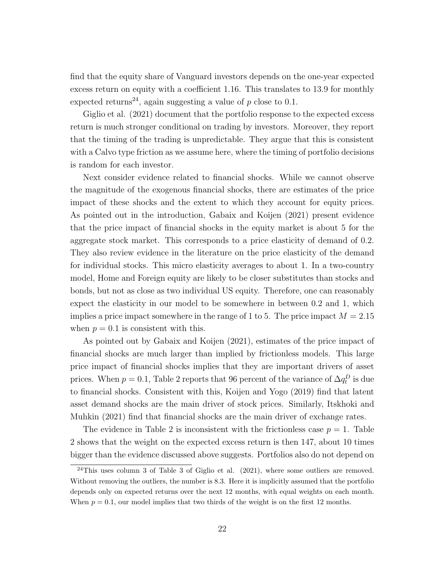find that the equity share of Vanguard investors depends on the one-year expected excess return on equity with a coefficient 1.16. This translates to 13.9 for monthly expected returns<sup>24</sup>, again suggesting a value of p close to 0.1.

Giglio et al. (2021) document that the portfolio response to the expected excess return is much stronger conditional on trading by investors. Moreover, they report that the timing of the trading is unpredictable. They argue that this is consistent with a Calvo type friction as we assume here, where the timing of portfolio decisions is random for each investor.

Next consider evidence related to financial shocks. While we cannot observe the magnitude of the exogenous financial shocks, there are estimates of the price impact of these shocks and the extent to which they account for equity prices. As pointed out in the introduction, Gabaix and Koijen (2021) present evidence that the price impact of financial shocks in the equity market is about 5 for the aggregate stock market. This corresponds to a price elasticity of demand of 0.2. They also review evidence in the literature on the price elasticity of the demand for individual stocks. This micro elasticity averages to about 1. In a two-country model, Home and Foreign equity are likely to be closer substitutes than stocks and bonds, but not as close as two individual US equity. Therefore, one can reasonably expect the elasticity in our model to be somewhere in between 0.2 and 1, which implies a price impact somewhere in the range of 1 to 5. The price impact  $M = 2.15$ when  $p = 0.1$  is consistent with this.

As pointed out by Gabaix and Koijen (2021), estimates of the price impact of financial shocks are much larger than implied by frictionless models. This large price impact of financial shocks implies that they are important drivers of asset prices. When  $p = 0.1$ , Table 2 reports that 96 percent of the variance of  $\Delta q_t^D$  is due to financial shocks. Consistent with this, Koijen and Yogo (2019) find that latent asset demand shocks are the main driver of stock prices. Similarly, Itskhoki and Muhkin (2021) find that financial shocks are the main driver of exchange rates.

The evidence in Table 2 is inconsistent with the frictionless case  $p = 1$ . Table 2 shows that the weight on the expected excess return is then 147, about 10 times bigger than the evidence discussed above suggests. Portfolios also do not depend on

 $24$ This uses column 3 of Table 3 of Giglio et al. (2021), where some outliers are removed. Without removing the outliers, the number is 8.3. Here it is implicitly assumed that the portfolio depends only on expected returns over the next 12 months, with equal weights on each month. When  $p = 0.1$ , our model implies that two thirds of the weight is on the first 12 months.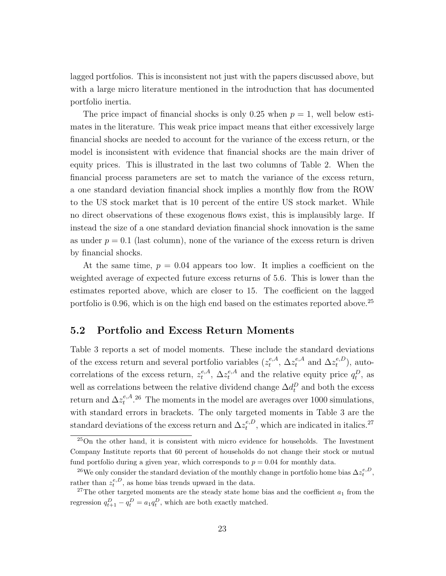lagged portfolios. This is inconsistent not just with the papers discussed above, but with a large micro literature mentioned in the introduction that has documented portfolio inertia.

The price impact of financial shocks is only 0.25 when  $p = 1$ , well below estimates in the literature. This weak price impact means that either excessively large financial shocks are needed to account for the variance of the excess return, or the model is inconsistent with evidence that financial shocks are the main driver of equity prices. This is illustrated in the last two columns of Table 2. When the financial process parameters are set to match the variance of the excess return, a one standard deviation financial shock implies a monthly flow from the ROW to the US stock market that is 10 percent of the entire US stock market. While no direct observations of these exogenous flows exist, this is implausibly large. If instead the size of a one standard deviation financial shock innovation is the same as under  $p = 0.1$  (last column), none of the variance of the excess return is driven by financial shocks.

At the same time,  $p = 0.04$  appears too low. It implies a coefficient on the weighted average of expected future excess returns of 5.6. This is lower than the estimates reported above, which are closer to 15. The coefficient on the lagged portfolio is 0.96, which is on the high end based on the estimates reported above.<sup>25</sup>

### 5.2 Portfolio and Excess Return Moments

Table 3 reports a set of model moments. These include the standard deviations of the excess return and several portfolio variables  $(z_t^{e,A})$  $t^{e,A}_t$ ,  $\Delta z^{e,A}_t$  and  $\Delta z^{e,D}_t$  $_t^{e,D}$ ), autocorrelations of the excess return,  $z_t^{e,A}$ <sup>e,A</sup>,  $\Delta z_t^{e,A}$  and the relative equity price  $q_t^D$ , as well as correlations between the relative dividend change  $\Delta d_t^D$  and both the excess return and  $\Delta z^{e,A}_t$ <sup>e,A</sup>.<sup>26</sup> The moments in the model are averages over 1000 simulations, with standard errors in brackets. The only targeted moments in Table 3 are the standard deviations of the excess return and  $\Delta z_t^{e, D}$  $t_t^{e,D}$ , which are indicated in italics.<sup>27</sup>

 $^{25}$ On the other hand, it is consistent with micro evidence for households. The Investment Company Institute reports that 60 percent of households do not change their stock or mutual fund portfolio during a given year, which corresponds to  $p = 0.04$  for monthly data.

<sup>&</sup>lt;sup>26</sup>We only consider the standard deviation of the monthly change in portfolio home bias  $\Delta z_t^{e,D}$ , rather than  $z_t^{e,D}$ , as home bias trends upward in the data.

<sup>&</sup>lt;sup>27</sup>The other targeted moments are the steady state home bias and the coefficient  $a_1$  from the regression  $q_{t+1}^D - q_t^D = a_1 q_t^D$ , which are both exactly matched.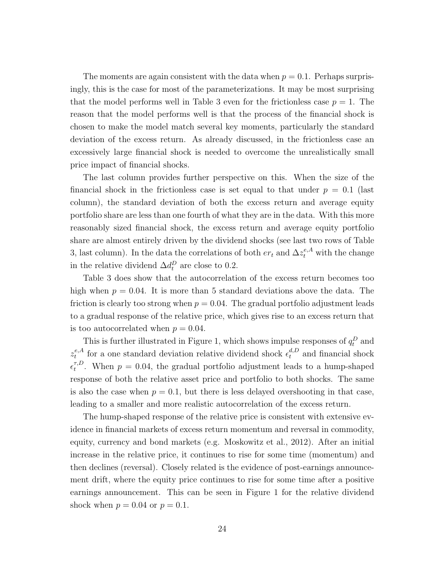The moments are again consistent with the data when  $p = 0.1$ . Perhaps surprisingly, this is the case for most of the parameterizations. It may be most surprising that the model performs well in Table 3 even for the frictionless case  $p = 1$ . The reason that the model performs well is that the process of the financial shock is chosen to make the model match several key moments, particularly the standard deviation of the excess return. As already discussed, in the frictionless case an excessively large financial shock is needed to overcome the unrealistically small price impact of financial shocks.

The last column provides further perspective on this. When the size of the financial shock in the frictionless case is set equal to that under  $p = 0.1$  (last column), the standard deviation of both the excess return and average equity portfolio share are less than one fourth of what they are in the data. With this more reasonably sized financial shock, the excess return and average equity portfolio share are almost entirely driven by the dividend shocks (see last two rows of Table 3, last column). In the data the correlations of both  $er_t$  and  $\Delta z_t^{e,A}$  with the change in the relative dividend  $\Delta d_t^D$  are close to 0.2.

Table 3 does show that the autocorrelation of the excess return becomes too high when  $p = 0.04$ . It is more than 5 standard deviations above the data. The friction is clearly too strong when  $p = 0.04$ . The gradual portfolio adjustment leads to a gradual response of the relative price, which gives rise to an excess return that is too autocorrelated when  $p = 0.04$ .

This is further illustrated in Figure 1, which shows impulse responses of  $q_t^D$  and  $z^{e,A}_t$  $\epsilon_t^{e,A}$  for a one standard deviation relative dividend shock  $\epsilon_t^{d,D}$  and financial shock  $\epsilon^{\tau,D}_t$  $t_t^{\tau,D}$ . When  $p = 0.04$ , the gradual portfolio adjustment leads to a hump-shaped response of both the relative asset price and portfolio to both shocks. The same is also the case when  $p = 0.1$ , but there is less delayed overshooting in that case, leading to a smaller and more realistic autocorrelation of the excess return.

The hump-shaped response of the relative price is consistent with extensive evidence in financial markets of excess return momentum and reversal in commodity, equity, currency and bond markets (e.g. Moskowitz et al., 2012). After an initial increase in the relative price, it continues to rise for some time (momentum) and then declines (reversal). Closely related is the evidence of post-earnings announcement drift, where the equity price continues to rise for some time after a positive earnings announcement. This can be seen in Figure 1 for the relative dividend shock when  $p = 0.04$  or  $p = 0.1$ .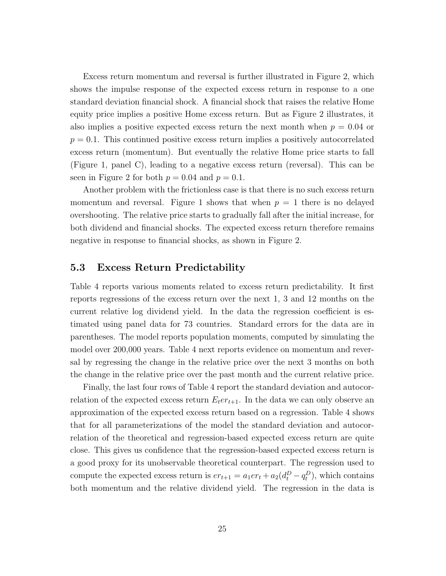Excess return momentum and reversal is further illustrated in Figure 2, which shows the impulse response of the expected excess return in response to a one standard deviation financial shock. A financial shock that raises the relative Home equity price implies a positive Home excess return. But as Figure 2 illustrates, it also implies a positive expected excess return the next month when  $p = 0.04$  or  $p = 0.1$ . This continued positive excess return implies a positively autocorrelated excess return (momentum). But eventually the relative Home price starts to fall (Figure 1, panel C), leading to a negative excess return (reversal). This can be seen in Figure 2 for both  $p = 0.04$  and  $p = 0.1$ .

Another problem with the frictionless case is that there is no such excess return momentum and reversal. Figure 1 shows that when  $p = 1$  there is no delayed overshooting. The relative price starts to gradually fall after the initial increase, for both dividend and financial shocks. The expected excess return therefore remains negative in response to financial shocks, as shown in Figure 2.

### 5.3 Excess Return Predictability

Table 4 reports various moments related to excess return predictability. It first reports regressions of the excess return over the next 1, 3 and 12 months on the current relative log dividend yield. In the data the regression coefficient is estimated using panel data for 73 countries. Standard errors for the data are in parentheses. The model reports population moments, computed by simulating the model over 200,000 years. Table 4 next reports evidence on momentum and reversal by regressing the change in the relative price over the next 3 months on both the change in the relative price over the past month and the current relative price.

Finally, the last four rows of Table 4 report the standard deviation and autocorrelation of the expected excess return  $E_t$ er<sub>t+1</sub>. In the data we can only observe an approximation of the expected excess return based on a regression. Table 4 shows that for all parameterizations of the model the standard deviation and autocorrelation of the theoretical and regression-based expected excess return are quite close. This gives us confidence that the regression-based expected excess return is a good proxy for its unobservable theoretical counterpart. The regression used to compute the expected excess return is  $er_{t+1} = a_1er_t + a_2(d_t^D - q_t^D)$ , which contains both momentum and the relative dividend yield. The regression in the data is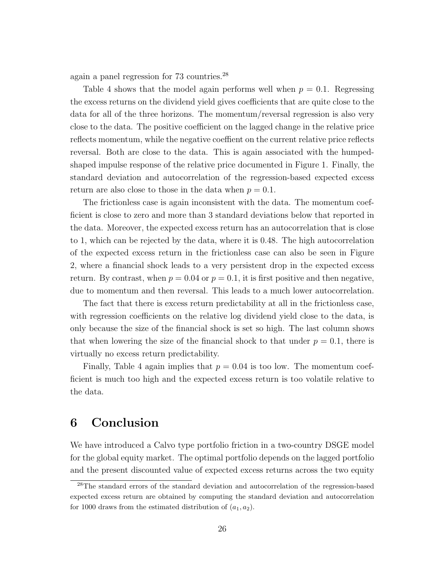again a panel regression for 73 countries.<sup>28</sup>

Table 4 shows that the model again performs well when  $p = 0.1$ . Regressing the excess returns on the dividend yield gives coefficients that are quite close to the data for all of the three horizons. The momentum/reversal regression is also very close to the data. The positive coefficient on the lagged change in the relative price reflects momentum, while the negative coeffient on the current relative price reflects reversal. Both are close to the data. This is again associated with the humpedshaped impulse response of the relative price documented in Figure 1. Finally, the standard deviation and autocorrelation of the regression-based expected excess return are also close to those in the data when  $p = 0.1$ .

The frictionless case is again inconsistent with the data. The momentum coefficient is close to zero and more than 3 standard deviations below that reported in the data. Moreover, the expected excess return has an autocorrelation that is close to 1, which can be rejected by the data, where it is 0.48. The high autocorrelation of the expected excess return in the frictionless case can also be seen in Figure 2, where a financial shock leads to a very persistent drop in the expected excess return. By contrast, when  $p = 0.04$  or  $p = 0.1$ , it is first positive and then negative, due to momentum and then reversal. This leads to a much lower autocorrelation.

The fact that there is excess return predictability at all in the frictionless case, with regression coefficients on the relative log dividend yield close to the data, is only because the size of the financial shock is set so high. The last column shows that when lowering the size of the financial shock to that under  $p = 0.1$ , there is virtually no excess return predictability.

Finally, Table 4 again implies that  $p = 0.04$  is too low. The momentum coefficient is much too high and the expected excess return is too volatile relative to the data.

## 6 Conclusion

We have introduced a Calvo type portfolio friction in a two-country DSGE model for the global equity market. The optimal portfolio depends on the lagged portfolio and the present discounted value of expected excess returns across the two equity

<sup>28</sup>The standard errors of the standard deviation and autocorrelation of the regression-based expected excess return are obtained by computing the standard deviation and autocorrelation for 1000 draws from the estimated distribution of  $(a_1, a_2)$ .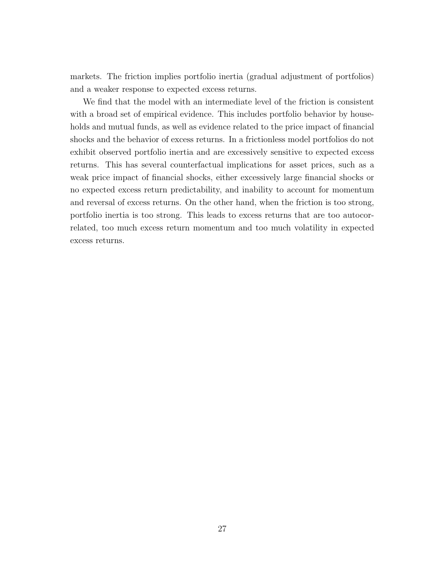markets. The friction implies portfolio inertia (gradual adjustment of portfolios) and a weaker response to expected excess returns.

We find that the model with an intermediate level of the friction is consistent with a broad set of empirical evidence. This includes portfolio behavior by households and mutual funds, as well as evidence related to the price impact of financial shocks and the behavior of excess returns. In a frictionless model portfolios do not exhibit observed portfolio inertia and are excessively sensitive to expected excess returns. This has several counterfactual implications for asset prices, such as a weak price impact of financial shocks, either excessively large financial shocks or no expected excess return predictability, and inability to account for momentum and reversal of excess returns. On the other hand, when the friction is too strong, portfolio inertia is too strong. This leads to excess returns that are too autocorrelated, too much excess return momentum and too much volatility in expected excess returns.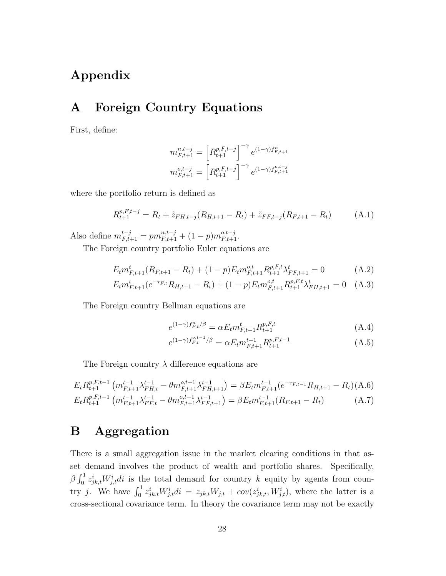## Appendix

## A Foreign Country Equations

First, define:

$$
m_{F,t+1}^{n,t-j} = \left[ R_{t+1}^{p,F,t-j} \right]^{-\gamma} e^{(1-\gamma)f_{F,t+1}^n}
$$

$$
m_{F,t+1}^{o,t-j} = \left[ R_{t+1}^{p,F,t-j} \right]^{-\gamma} e^{(1-\gamma)f_{F,t+1}^{o,t-j}}
$$

where the portfolio return is defined as

$$
R_{t+1}^{p,F,t-j} = R_t + \tilde{z}_{FH,t-j}(R_{H,t+1} - R_t) + \tilde{z}_{FF,t-j}(R_{F,t+1} - R_t)
$$
(A.1)

Also define  $m_{F,t+1}^{t-j} = pm_{F,t+1}^{n,t-j} + (1-p)m_{F,t+1}^{o,t-j}$ .

The Foreign country portfolio Euler equations are

$$
E_t m_{F,t+1}^t (R_{F,t+1} - R_t) + (1 - p) E_t m_{F,t+1}^{o,t} R_{t+1}^{p,F,t} \lambda_{FF,t+1}^t = 0
$$
 (A.2)

$$
E_t m_{F,t+1}^t (e^{-\tau_{F,t}} R_{H,t+1} - R_t) + (1-p) E_t m_{F,t+1}^{o,t} R_{t+1}^{p,F,t} \lambda_{FH,t+1}^t = 0 \quad (A.3)
$$

The Foreign country Bellman equations are

$$
e^{(1-\gamma)f_{F,t}^n/\beta} = \alpha E_t m_{F,t+1}^t R_{t+1}^{p,F,t}
$$
\n(A.4)

$$
e^{(1-\gamma)f_{F,t}^{o,t-1}/\beta} = \alpha E_t m_{F,t+1}^{t-1} R_{t+1}^{p,F,t-1}
$$
\n(A.5)

The Foreign country  $\lambda$  difference equations are

$$
E_t R_{t+1}^{p,F,t-1} \left( m_{F,t+1}^{t-1} \lambda_{FH,t}^{t-1} - \theta m_{F,t+1}^{o,t-1} \lambda_{FH,t+1}^{t-1} \right) = \beta E_t m_{F,t+1}^{t-1} (e^{-\tau_{F,t-1}} R_{H,t+1} - R_t) \text{(A.6)}
$$
  
\n
$$
E_t R_{t+1}^{p,F,t-1} \left( m_{F,t+1}^{t-1} \lambda_{FF,t}^{t-1} - \theta m_{F,t+1}^{o,t-1} \lambda_{FF,t+1}^{t-1} \right) = \beta E_t m_{F,t+1}^{t-1} (R_{F,t+1} - R_t) \tag{A.7}
$$

## B Aggregation

There is a small aggregation issue in the market clearing conditions in that asset demand involves the product of wealth and portfolio shares. Specifically,  $\beta \int_0^1 z_{jk,t}^i W_{j,t}^i dt$  is the total demand for country k equity by agents from country j. We have  $\int_0^1 z_{jk,t}^i W_{j,t}^i di = z_{jk,t} W_{j,t} + cov(z_{jk,t}^i, W_{j,t}^i)$ , where the latter is a cross-sectional covariance term. In theory the covariance term may not be exactly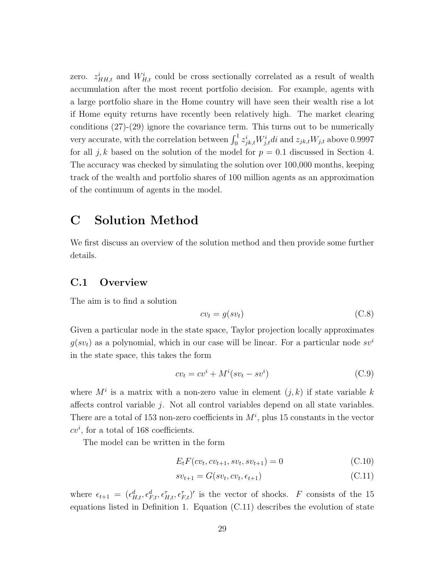zero.  $z_{HH,t}^i$  and  $W_{H,t}^i$  could be cross sectionally correlated as a result of wealth accumulation after the most recent portfolio decision. For example, agents with a large portfolio share in the Home country will have seen their wealth rise a lot if Home equity returns have recently been relatively high. The market clearing conditions (27)-(29) ignore the covariance term. This turns out to be numerically very accurate, with the correlation between  $\int_0^1 z_{jk,t}^i W_{j,t}^i dt$  and  $z_{jk,t} W_{j,t}$  above 0.9997 for all j, k based on the solution of the model for  $p = 0.1$  discussed in Section 4. The accuracy was checked by simulating the solution over 100,000 months, keeping track of the wealth and portfolio shares of 100 million agents as an approximation of the continuum of agents in the model.

## C Solution Method

We first discuss an overview of the solution method and then provide some further details.

## C.1 Overview

The aim is to find a solution

$$
cv_t = g(sv_t) \tag{C.8}
$$

Given a particular node in the state space, Taylor projection locally approximates  $g(sv_t)$  as a polynomial, which in our case will be linear. For a particular node  $sv^i$ in the state space, this takes the form

$$
cv_t = cv^i + M^i(sv_t - sv^i)
$$
\n(C.9)

where  $M^i$  is a matrix with a non-zero value in element  $(j, k)$  if state variable k affects control variable  $i$ . Not all control variables depend on all state variables. There are a total of 153 non-zero coefficients in  $M^i$ , plus 15 constants in the vector  $cv^i$ , for a total of 168 coefficients.

The model can be written in the form

$$
E_t F(cv_t, cv_{t+1}, sv_t, sv_{t+1}) = 0
$$
\n(C.10)

$$
sv_{t+1} = G(sv_t, cv_t, \epsilon_{t+1})
$$
\n(C.11)

where  $\epsilon_{t+1} = (\epsilon_{H,t}^d, \epsilon_{F,t}^d, \epsilon_{H,t}^{\tau}, \epsilon_{F,t}^{\tau})'$  is the vector of shocks. F consists of the 15 equations listed in Definition 1. Equation (C.11) describes the evolution of state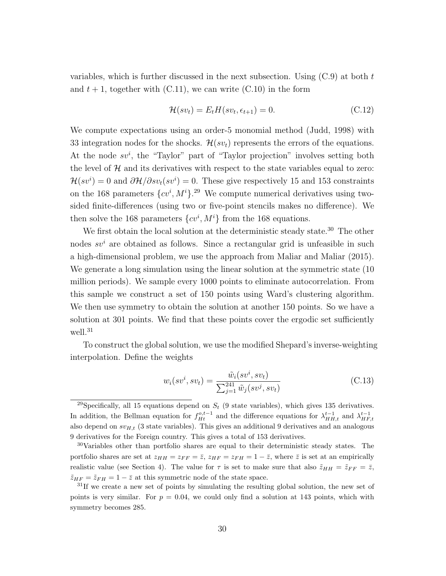variables, which is further discussed in the next subsection. Using  $(C.9)$  at both t and  $t + 1$ , together with (C.11), we can write (C.10) in the form

$$
\mathcal{H}(sv_t) = E_t H(sv_t, \epsilon_{t+1}) = 0.
$$
\n(C.12)

We compute expectations using an order-5 monomial method (Judd, 1998) with 33 integration nodes for the shocks.  $\mathcal{H}(sv_t)$  represents the errors of the equations. At the node  $sv^i$ , the "Taylor" part of "Taylor projection" involves setting both the level of  $\mathcal H$  and its derivatives with respect to the state variables equal to zero:  $\mathcal{H}(sv^i) = 0$  and  $\partial \mathcal{H}/\partial sv_t(sv^i) = 0$ . These give respectively 15 and 153 constraints on the 168 parameters  $\{cv^i, M^i\}$ <sup>29</sup> We compute numerical derivatives using twosided finite-differences (using two or five-point stencils makes no difference). We then solve the 168 parameters  $\{cv^i, M^i\}$  from the 168 equations.

We first obtain the local solution at the deterministic steady state.<sup>30</sup> The other nodes  $s\mathbf{v}^i$  are obtained as follows. Since a rectangular grid is unfeasible in such a high-dimensional problem, we use the approach from Maliar and Maliar (2015). We generate a long simulation using the linear solution at the symmetric state  $(10$ million periods). We sample every 1000 points to eliminate autocorrelation. From this sample we construct a set of 150 points using Ward's clustering algorithm. We then use symmetry to obtain the solution at another 150 points. So we have a solution at 301 points. We find that these points cover the ergodic set sufficiently well.<sup>31</sup>

To construct the global solution, we use the modified Shepard's inverse-weighting interpolation. Define the weights

$$
w_i(sv^i, sv_t) = \frac{\tilde{w}_i(sv^i, sv_t)}{\sum_{j=1}^{241} \tilde{w}_j(sv^j, sv_t)}
$$
(C.13)

<sup>&</sup>lt;sup>29</sup>Specifically, all 15 equations depend on  $S_t$  (9 state variables), which gives 135 derivatives. In addition, the Bellman equation for  $f_{Ht}^{o,t-1}$  and the difference equations for  $\lambda_{HH,t}^{t-1}$  and  $\lambda_{HF,t}^{t-1}$ also depend on  $sv_{H,t}$  (3 state variables). This gives an additional 9 derivatives and an analogous 9 derivatives for the Foreign country. This gives a total of 153 derivatives.

<sup>30</sup>Variables other than portfolio shares are equal to their deterministic steady states. The portfolio shares are set at  $z_{HH} = z_{FF} = \overline{z}$ ,  $z_{HF} = z_{FH} = 1 - \overline{z}$ , where  $\overline{z}$  is set at an empirically realistic value (see Section 4). The value for  $\tau$  is set to make sure that also  $\tilde{z}_{HH} = \tilde{z}_{FF} = \bar{z}$ ,  $\tilde{z}_{HF} = \tilde{z}_{FH} = 1 - \bar{z}$  at this symmetric node of the state space.

 $31$ If we create a new set of points by simulating the resulting global solution, the new set of points is very similar. For  $p = 0.04$ , we could only find a solution at 143 points, which with symmetry becomes 285.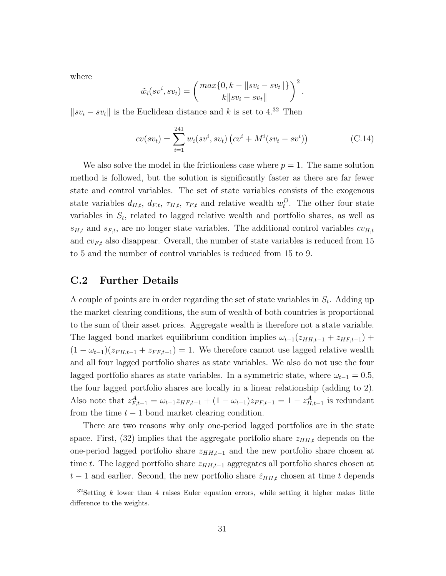where

$$
\tilde{w}_i(sv^i, sv_t) = \left(\frac{max\{0, k - ||sv_i - sv_t||\}}{k||sv_i - sv_t||}\right)^2.
$$

 $\|sv_i - sv_t\|$  is the Euclidean distance and k is set to 4.<sup>32</sup> Then

$$
cv(sv_t) = \sum_{i=1}^{241} w_i(sv^i, sv_t) (cv^i + M^i(sv_t - sv^i))
$$
 (C.14)

We also solve the model in the frictionless case where  $p = 1$ . The same solution method is followed, but the solution is significantly faster as there are far fewer state and control variables. The set of state variables consists of the exogenous state variables  $d_{H,t}$ ,  $d_{F,t}$ ,  $\tau_{H,t}$ ,  $\tau_{F,t}$  and relative wealth  $w_t^D$ . The other four state variables in  $S_t$ , related to lagged relative wealth and portfolio shares, as well as  $s_{H,t}$  and  $s_{F,t}$ , are no longer state variables. The additional control variables  $cv_{H,t}$ and  $cv_{F,t}$  also disappear. Overall, the number of state variables is reduced from 15 to 5 and the number of control variables is reduced from 15 to 9.

## C.2 Further Details

A couple of points are in order regarding the set of state variables in  $S_t$ . Adding up the market clearing conditions, the sum of wealth of both countries is proportional to the sum of their asset prices. Aggregate wealth is therefore not a state variable. The lagged bond market equilibrium condition implies  $\omega_{t-1}(z_{HH,t-1} + z_{HF,t-1})$  +  $(1 - \omega_{t-1})(z_{FH,t-1} + z_{FF,t-1}) = 1$ . We therefore cannot use lagged relative wealth and all four lagged portfolio shares as state variables. We also do not use the four lagged portfolio shares as state variables. In a symmetric state, where  $\omega_{t-1} = 0.5$ , the four lagged portfolio shares are locally in a linear relationship (adding to 2). Also note that  $z_{F,t-1}^A = \omega_{t-1} z_{HF,t-1} + (1 - \omega_{t-1}) z_{FF,t-1} = 1 - z_{H,t-1}^A$  is redundant from the time  $t - 1$  bond market clearing condition.

There are two reasons why only one-period lagged portfolios are in the state space. First,  $(32)$  implies that the aggregate portfolio share  $z_{HH,t}$  depends on the one-period lagged portfolio share  $z_{HH,t-1}$  and the new portfolio share chosen at time t. The lagged portfolio share  $z_{HH,t-1}$  aggregates all portfolio shares chosen at  $t-1$  and earlier. Second, the new portfolio share  $\tilde{z}_{HH,t}$  chosen at time t depends

 $32$ Setting k lower than 4 raises Euler equation errors, while setting it higher makes little difference to the weights.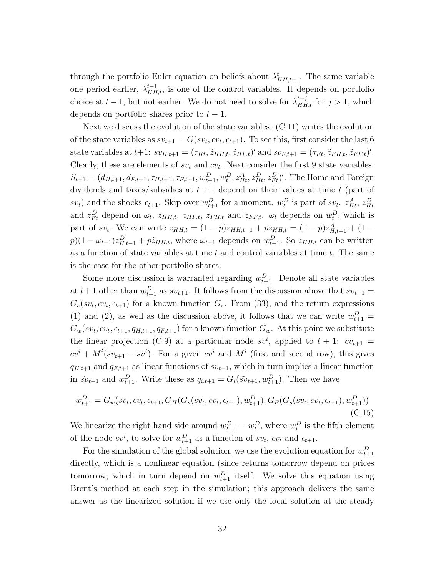through the portfolio Euler equation on beliefs about  $\lambda_{HH,t+1}^t$ . The same variable one period earlier,  $\lambda_{HH,t}^{t-1}$ , is one of the control variables. It depends on portfolio choice at  $t-1$ , but not earlier. We do not need to solve for  $\lambda_{HH,t}^{t-j}$  for  $j>1$ , which depends on portfolio shares prior to  $t - 1$ .

Next we discuss the evolution of the state variables. (C.11) writes the evolution of the state variables as  $sv_{t+1} = G(sv_t, cv_t, \epsilon_{t+1})$ . To see this, first consider the last 6 state variables at  $t+1$ :  $sv_{H,t+1} = (\tau_{Ht}, \tilde{z}_{HH,t}, \tilde{z}_{HF,t})'$  and  $sv_{F,t+1} = (\tau_{Ft}, \tilde{z}_{FH,t}, \tilde{z}_{FF,t})'$ . Clearly, these are elements of  $sv_t$  and  $cv_t$ . Next consider the first 9 state variables:  $S_{t+1} = (d_{H,t+1}, d_{F,t+1}, \tau_{H,t+1}, \tau_{F,t+1}, w_{t+1}^D, w_t^D, z_{Ht}^A, z_{Ht}^D, z_{Ft}^D)'$ . The Home and Foreign dividends and taxes/subsidies at  $t + 1$  depend on their values at time t (part of  $sv_t$ ) and the shocks  $\epsilon_{t+1}$ . Skip over  $w_{t+1}^D$  for a moment.  $w_t^D$  is part of  $sv_t$ .  $z_{Ht}^A$ ,  $z_{Ht}^D$ and  $z_{Ft}^D$  depend on  $\omega_t$ ,  $z_{HH,t}$ ,  $z_{HF,t}$ ,  $z_{FH,t}$  and  $z_{FF,t}$ .  $\omega_t$  depends on  $w_t^D$ , which is part of sv<sub>t</sub>. We can write  $z_{HH,t} = (1-p)z_{HH,t-1} + p\tilde{z}_{HH,t} = (1-p)z_{H,t-1}^A + (1-p)z_{HH,t-1}^A$  $p(1 - \omega_{t-1})z_{H,t-1}^D + p\tilde{z}_{HH,t}$ , where  $\omega_{t-1}$  depends on  $w_{t-1}^D$ . So  $z_{HH,t}$  can be written as a function of state variables at time  $t$  and control variables at time  $t$ . The same is the case for the other portfolio shares.

Some more discussion is warranted regarding  $w_{t+1}^D$ . Denote all state variables at  $t+1$  other than  $w_{t+1}^D$  as  $\tilde{s}v_{t+1}$ . It follows from the discussion above that  $\tilde{s}v_{t+1} =$  $G_s(sv_t, cv_t, \epsilon_{t+1})$  for a known function  $G_s$ . From (33), and the return expressions (1) and (2), as well as the discussion above, it follows that we can write  $w_{t+1}^D =$  $G_w(sv_t, cv_t, \epsilon_{t+1}, q_{H,t+1}, q_{F,t+1})$  for a known function  $G_w$ . At this point we substitute the linear projection (C.9) at a particular node  $sv^i$ , applied to  $t + 1$ :  $cv_{t+1} =$  $cv^{i} + M^{i}(sv_{t+1} - sv^{i})$ . For a given  $cv^{i}$  and  $M^{i}$  (first and second row), this gives  $q_{H,t+1}$  and  $q_{F,t+1}$  as linear functions of  $sv_{t+1}$ , which in turn implies a linear function in  $\tilde{s}v_{t+1}$  and  $w_{t+1}^D$ . Write these as  $q_{i,t+1} = G_i(\tilde{s}v_{t+1}, w_{t+1}^D)$ . Then we have

$$
w_{t+1}^D = G_w(sv_t, cv_t, \epsilon_{t+1}, G_H(G_s(sv_t, cv_t, \epsilon_{t+1}), w_{t+1}^D), G_F(G_s(sv_t, cv_t, \epsilon_{t+1}), w_{t+1}^D))
$$
\n(C.15)

We linearize the right hand side around  $w_{t+1}^D = w_t^D$ , where  $w_t^D$  is the fifth element of the node  $s v^i$ , to solve for  $w_{t+1}^D$  as a function of  $s v_t$ ,  $c v_t$  and  $\epsilon_{t+1}$ .

For the simulation of the global solution, we use the evolution equation for  $w_{t+1}^D$ directly, which is a nonlinear equation (since returns tomorrow depend on prices tomorrow, which in turn depend on  $w_{t+1}^D$  itself. We solve this equation using Brent's method at each step in the simulation; this approach delivers the same answer as the linearized solution if we use only the local solution at the steady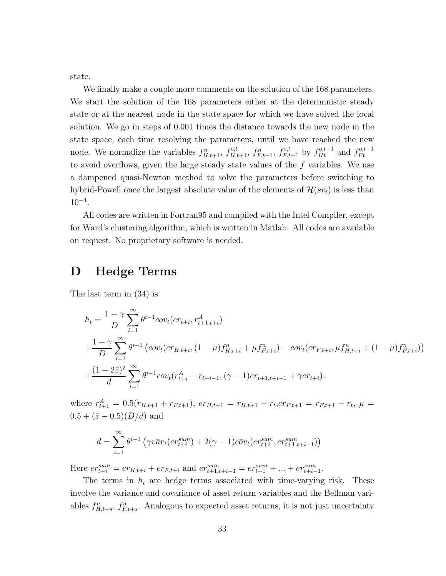state.

We finally make a couple more comments on the solution of the 168 parameters. We start the solution of the 168 parameters either at the deterministic steady state or at the nearest node in the state space for which we have solved the local solution. We go in steps of 0.001 times the distance towards the new node in the state space, each time resolving the parameters, until we have reached the new node. We normalize the variables  $f_{H,t+1}^n$ ,  $f_{H,t+1}^{o,t}$ ,  $f_{F,t+1}^{n}$ ,  $f_{F,t+1}^{o,t}$  by  $f_{Ht}^{o,t-1}$  and  $f_{Ft}^{o,t-1}$  $F t$ to avoid overflows, given the large steady state values of the f variables. We use a dampened quasi-Newton method to solve the parameters before switching to hybrid-Powell once the largest absolute value of the elements of  $\mathcal{H}(sv_t)$  is less than  $10^{-4}$ .

All codes are written in Fortran95 and compiled with the Intel Compiler, except for Ward's clustering algorithm, which is written in Matlab. All codes are available on request. No proprietary software is needed.

## D Hedge Terms

The last term in (34) is

$$
h_{t} = \frac{1 - \gamma}{D} \sum_{i=1}^{\infty} \theta^{i-1} cov_{t}(er_{t+i}, r_{t+1, t+i}^{A})
$$
  
+ 
$$
\frac{1 - \gamma}{D} \sum_{i=1}^{\infty} \theta^{i-1} \left( cov_{t}(er_{H, t+i}, (1 - \mu) f_{H, t+i}^{n} + \mu f_{F, t+i}^{n}) - cov_{t}(er_{F, t+i}, \mu f_{H, t+i}^{n} + (1 - \mu) f_{F, t+i}^{n}) \right)
$$
  
+ 
$$
\frac{(1 - 2\overline{z})^{2}}{d} \sum_{i=1}^{\infty} \theta^{i-1} cov_{t}(r_{t+i}^{A} - r_{t+i-1}, (\gamma - 1) er_{t+1, t+i-1} + \gamma er_{t+i}).
$$

where  $r_{t+1}^A = 0.5(r_{H,t+1} + r_{F,t+1}), \, \text{er}_{H,t+1} = r_{H,t+1} - r_t, \text{er}_{F,t+1} = r_{F,t+1} - r_t, \, \mu =$  $0.5 + (\bar{z} - 0.5)(D/d)$  and

$$
d = \sum_{i=1}^{\infty} \theta^{i-1} \left( \gamma v \bar{a} r_t (e r_{t+i}^{sum}) + 2(\gamma - 1) c \bar{b} v_t (e r_{t+i}^{sum}, e r_{t+1, t+i-1}^{sum}) \right)
$$

Here  $er_{t+i}^{sum} = er_{H,t+i} + er_{F,t+i}$  and  $er_{t+1,t+i-1}^{sum} = er_{t+1}^{sum} + ... + er_{t+i-1}^{sum}$ .

The terms in  $h_t$  are hedge terms associated with time-varying risk. These involve the variance and covariance of asset return variables and the Bellman variables  $f_{H,t+s}^n$ ,  $f_{F,t+s}^n$ . Analogous to expected asset returns, it is not just uncertainty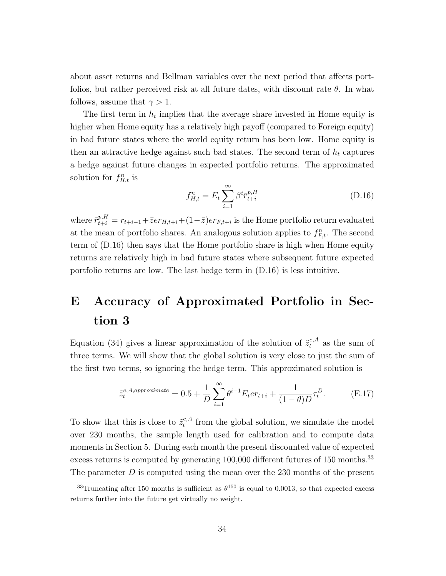about asset returns and Bellman variables over the next period that affects portfolios, but rather perceived risk at all future dates, with discount rate  $\theta$ . In what follows, assume that  $\gamma > 1$ .

The first term in  $h_t$  implies that the average share invested in Home equity is higher when Home equity has a relatively high payoff (compared to Foreign equity) in bad future states where the world equity return has been low. Home equity is then an attractive hedge against such bad states. The second term of  $h_t$  captures a hedge against future changes in expected portfolio returns. The approximated solution for  $f_{H,t}^n$  is

$$
f_{H,t}^n = E_t \sum_{i=1}^{\infty} \beta^i \bar{r}_{t+i}^{p,H}
$$
 (D.16)

where  $\bar{r}_{t+i}^{p,H} = r_{t+i-1} + \bar{z}er_{H,t+i} + (1-\bar{z})er_{F,t+i}$  is the Home portfolio return evaluated at the mean of portfolio shares. An analogous solution applies to  $f_{F,t}^n$ . The second term of (D.16) then says that the Home portfolio share is high when Home equity returns are relatively high in bad future states where subsequent future expected portfolio returns are low. The last hedge term in (D.16) is less intuitive.

## E Accuracy of Approximated Portfolio in Section 3

Equation (34) gives a linear approximation of the solution of  $\tilde{z}^{\epsilon,A}_{t}$  as the sum of three terms. We will show that the global solution is very close to just the sum of the first two terms, so ignoring the hedge term. This approximated solution is

$$
\tilde{z}_{t}^{e,A,approximate} = 0.5 + \frac{1}{D} \sum_{i=1}^{\infty} \theta^{i-1} E_{t} er_{t+i} + \frac{1}{(1-\theta)D} \tau_{t}^{D}.
$$
 (E.17)

To show that this is close to  $\tilde{z}^{e,A}_t$  $t_t^{e,A}$  from the global solution, we simulate the model over 230 months, the sample length used for calibration and to compute data moments in Section 5. During each month the present discounted value of expected excess returns is computed by generating 100,000 different futures of 150 months.<sup>33</sup> The parameter  $D$  is computed using the mean over the 230 months of the present

<sup>&</sup>lt;sup>33</sup>Truncating after 150 months is sufficient as  $\theta^{150}$  is equal to 0.0013, so that expected excess returns further into the future get virtually no weight.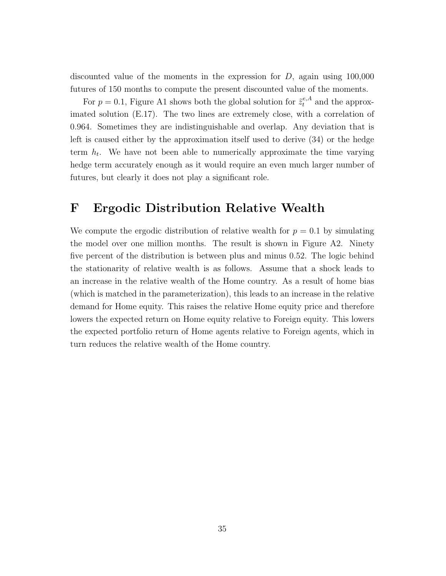discounted value of the moments in the expression for  $D$ , again using 100,000 futures of 150 months to compute the present discounted value of the moments.

For  $p = 0.1$ , Figure A1 shows both the global solution for  $\tilde{z}^{e,A}_t$  and the approximated solution (E.17). The two lines are extremely close, with a correlation of 0.964. Sometimes they are indistinguishable and overlap. Any deviation that is left is caused either by the approximation itself used to derive (34) or the hedge term  $h_t$ . We have not been able to numerically approximate the time varying hedge term accurately enough as it would require an even much larger number of futures, but clearly it does not play a significant role.

## F Ergodic Distribution Relative Wealth

We compute the ergodic distribution of relative wealth for  $p = 0.1$  by simulating the model over one million months. The result is shown in Figure A2. Ninety five percent of the distribution is between plus and minus 0.52. The logic behind the stationarity of relative wealth is as follows. Assume that a shock leads to an increase in the relative wealth of the Home country. As a result of home bias (which is matched in the parameterization), this leads to an increase in the relative demand for Home equity. This raises the relative Home equity price and therefore lowers the expected return on Home equity relative to Foreign equity. This lowers the expected portfolio return of Home agents relative to Foreign agents, which in turn reduces the relative wealth of the Home country.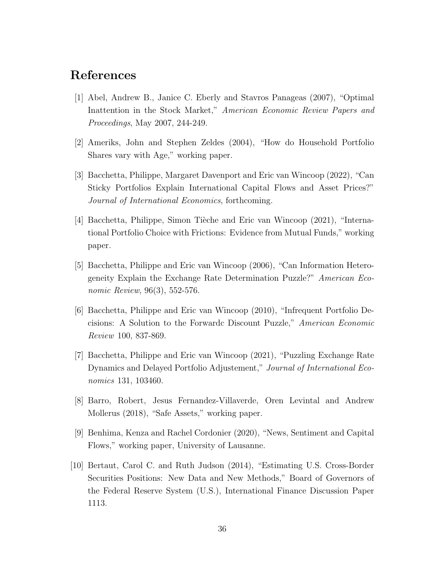## References

- [1] Abel, Andrew B., Janice C. Eberly and Stavros Panageas (2007), "Optimal Inattention in the Stock Market," American Economic Review Papers and Proceedings, May 2007, 244-249.
- [2] Ameriks, John and Stephen Zeldes (2004), "How do Household Portfolio Shares vary with Age," working paper.
- [3] Bacchetta, Philippe, Margaret Davenport and Eric van Wincoop (2022), "Can Sticky Portfolios Explain International Capital Flows and Asset Prices?" Journal of International Economics, forthcoming.
- [4] Bacchetta, Philippe, Simon Tièche and Eric van Wincoop (2021), "International Portfolio Choice with Frictions: Evidence from Mutual Funds," working paper.
- [5] Bacchetta, Philippe and Eric van Wincoop (2006), "Can Information Heterogeneity Explain the Exchange Rate Determination Puzzle?" American Economic Review, 96(3), 552-576.
- [6] Bacchetta, Philippe and Eric van Wincoop (2010), "Infrequent Portfolio Decisions: A Solution to the Forwardc Discount Puzzle," American Economic Review 100, 837-869.
- [7] Bacchetta, Philippe and Eric van Wincoop (2021), "Puzzling Exchange Rate Dynamics and Delayed Portfolio Adjustement," Journal of International Economics 131, 103460.
- [8] Barro, Robert, Jesus Fernandez-Villaverde, Oren Levintal and Andrew Mollerus (2018), "Safe Assets," working paper.
- [9] Benhima, Kenza and Rachel Cordonier (2020), "News, Sentiment and Capital Flows," working paper, University of Lausanne.
- [10] Bertaut, Carol C. and Ruth Judson (2014), "Estimating U.S. Cross-Border Securities Positions: New Data and New Methods," Board of Governors of the Federal Reserve System (U.S.), International Finance Discussion Paper 1113.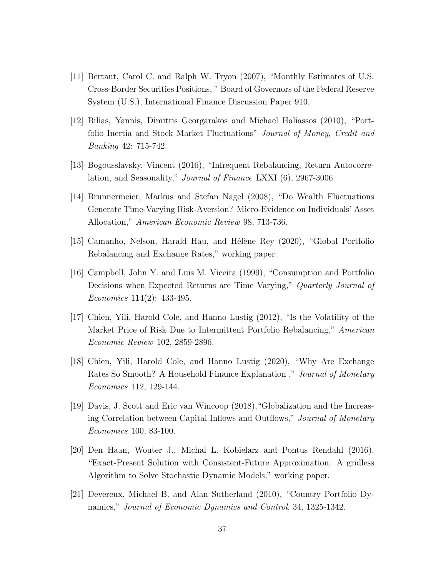- [11] Bertaut, Carol C. and Ralph W. Tryon (2007), "Monthly Estimates of U.S. Cross-Border Securities Positions, " Board of Governors of the Federal Reserve System (U.S.), International Finance Discussion Paper 910.
- [12] Bilias, Yannis, Dimitris Georgarakos and Michael Haliassos (2010), "Portfolio Inertia and Stock Market Fluctuations" Journal of Money, Credit and Banking 42: 715-742.
- [13] Bogousslavsky, Vincent (2016), "Infrequent Rebalancing, Return Autocorrelation, and Seasonality," Journal of Finance LXXI (6), 2967-3006.
- [14] Brunnermeier, Markus and Stefan Nagel (2008), "Do Wealth Fluctuations Generate Time-Varying Risk-Aversion? Micro-Evidence on Individuals' Asset Allocation," American Economic Review 98, 713-736.
- [15] Camanho, Nelson, Harald Hau, and Hélène Rey (2020), "Global Portfolio Rebalancing and Exchange Rates," working paper.
- [16] Campbell, John Y. and Luis M. Viceira (1999), "Consumption and Portfolio Decisions when Expected Returns are Time Varying," Quarterly Journal of Economics 114(2): 433-495.
- [17] Chien, Yili, Harold Cole, and Hanno Lustig (2012), "Is the Volatility of the Market Price of Risk Due to Intermittent Portfolio Rebalancing," American Economic Review 102, 2859-2896.
- [18] Chien, Yili, Harold Cole, and Hanno Lustig (2020), "Why Are Exchange Rates So Smooth? A Household Finance Explanation ," Journal of Monetary Economics 112, 129-144.
- [19] Davis, J. Scott and Eric van Wincoop (2018),"Globalization and the Increasing Correlation between Capital Inflows and Outflows," Journal of Monetary Economics 100, 83-100.
- [20] Den Haan, Wouter J., Michal L. Kobielarz and Pontus Rendahl (2016), "Exact-Present Solution with Consistent-Future Approximation: A gridless Algorithm to Solve Stochastic Dynamic Models," working paper.
- [21] Devereux, Michael B. and Alan Sutherland (2010), "Country Portfolio Dynamics," Journal of Economic Dynamics and Control, 34, 1325-1342.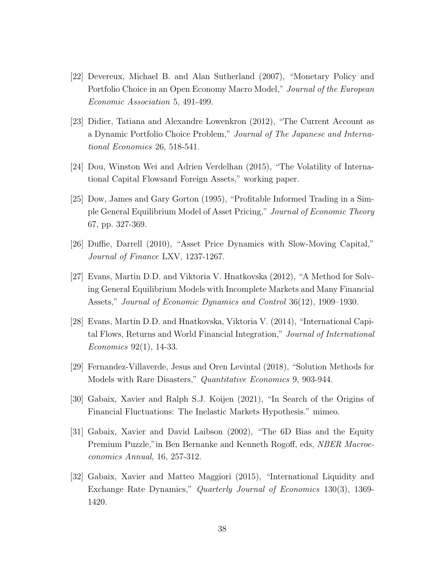- [22] Devereux, Michael B. and Alan Sutherland (2007), "Monetary Policy and Portfolio Choice in an Open Economy Macro Model," Journal of the European Economic Association 5, 491-499.
- [23] Didier, Tatiana and Alexandre Lowenkron (2012), "The Current Account as a Dynamic Portfolio Choice Problem," Journal of The Japanese and International Economies 26, 518-541.
- [24] Dou, Winston Wei and Adrien Verdelhan (2015), "The Volatility of International Capital Flowsand Foreign Assets," working paper.
- [25] Dow, James and Gary Gorton (1995), "Profitable Informed Trading in a Simple General Equilibrium Model of Asset Pricing," Journal of Economic Theory 67, pp. 327-369.
- [26] Duffie, Darrell (2010), "Asset Price Dynamics with Slow-Moving Capital," Journal of Finance LXV, 1237-1267.
- [27] Evans, Martin D.D. and Viktoria V. Hnatkovska (2012), "A Method for Solving General Equilibrium Models with Incomplete Markets and Many Financial Assets," Journal of Economic Dynamics and Control 36(12), 1909–1930.
- [28] Evans, Martin D.D. and Hnatkovska, Viktoria V. (2014), "International Capital Flows, Returns and World Financial Integration," Journal of International Economics 92(1), 14-33.
- [29] Fernandez-Villaverde, Jesus and Oren Levintal (2018), "Solution Methods for Models with Rare Disasters," Quantitative Economics 9, 903-944.
- [30] Gabaix, Xavier and Ralph S.J. Koijen (2021), "In Search of the Origins of Financial Fluctuations: The Inelastic Markets Hypothesis." mimeo.
- [31] Gabaix, Xavier and David Laibson (2002), "The 6D Bias and the Equity Premium Puzzle,"in Ben Bernanke and Kenneth Rogoff, eds, NBER Macroeconomics Annual, 16, 257-312.
- [32] Gabaix, Xavier and Matteo Maggiori (2015), "International Liquidity and Exchange Rate Dynamics," Quarterly Journal of Economics 130(3), 1369- 1420.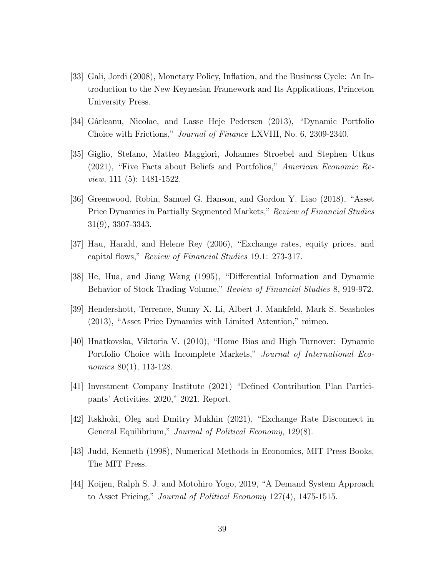- [33] Gali, Jordi (2008), Monetary Policy, Inflation, and the Business Cycle: An Introduction to the New Keynesian Framework and Its Applications, Princeton University Press.
- [34] Gârleanu, Nicolae, and Lasse Heje Pedersen (2013), "Dynamic Portfolio Choice with Frictions," Journal of Finance LXVIII, No. 6, 2309-2340.
- [35] Giglio, Stefano, Matteo Maggiori, Johannes Stroebel and Stephen Utkus (2021), "Five Facts about Beliefs and Portfolios," American Economic Review, 111 (5): 1481-1522.
- [36] Greenwood, Robin, Samuel G. Hanson, and Gordon Y. Liao (2018), "Asset Price Dynamics in Partially Segmented Markets," Review of Financial Studies 31(9), 3307-3343.
- [37] Hau, Harald, and Helene Rey (2006), "Exchange rates, equity prices, and capital flows," Review of Financial Studies 19.1: 273-317.
- [38] He, Hua, and Jiang Wang (1995), "Differential Information and Dynamic Behavior of Stock Trading Volume," Review of Financial Studies 8, 919-972.
- [39] Hendershott, Terrence, Sunny X. Li, Albert J. Mankfeld, Mark S. Seasholes (2013), "Asset Price Dynamics with Limited Attention," mimeo.
- [40] Hnatkovska, Viktoria V. (2010), "Home Bias and High Turnover: Dynamic Portfolio Choice with Incomplete Markets," Journal of International Economics 80(1), 113-128.
- [41] Investment Company Institute (2021) "Defined Contribution Plan Participants' Activities, 2020," 2021. Report.
- [42] Itskhoki, Oleg and Dmitry Mukhin (2021), "Exchange Rate Disconnect in General Equilibrium," Journal of Political Economy, 129(8).
- [43] Judd, Kenneth (1998), Numerical Methods in Economics, MIT Press Books, The MIT Press.
- [44] Koijen, Ralph S. J. and Motohiro Yogo, 2019, "A Demand System Approach to Asset Pricing," Journal of Political Economy 127(4), 1475-1515.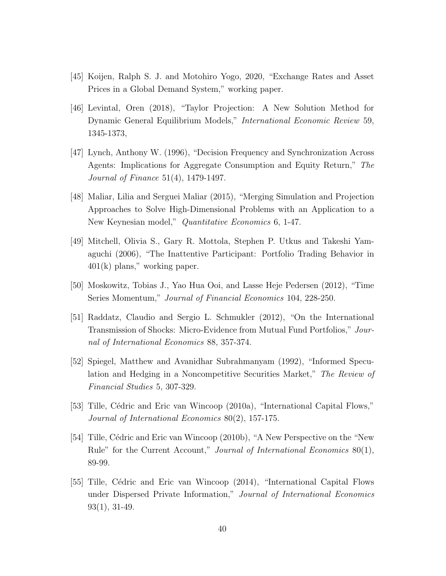- [45] Koijen, Ralph S. J. and Motohiro Yogo, 2020, "Exchange Rates and Asset Prices in a Global Demand System," working paper.
- [46] Levintal, Oren (2018), "Taylor Projection: A New Solution Method for Dynamic General Equilibrium Models," International Economic Review 59, 1345-1373,
- [47] Lynch, Anthony W. (1996), "Decision Frequency and Synchronization Across Agents: Implications for Aggregate Consumption and Equity Return," The Journal of Finance 51(4), 1479-1497.
- [48] Maliar, Lilia and Serguei Maliar (2015), "Merging Simulation and Projection Approaches to Solve High-Dimensional Problems with an Application to a New Keynesian model," Quantitative Economics 6, 1-47.
- [49] Mitchell, Olivia S., Gary R. Mottola, Stephen P. Utkus and Takeshi Yamaguchi (2006), "The Inattentive Participant: Portfolio Trading Behavior in 401(k) plans," working paper.
- [50] Moskowitz, Tobias J., Yao Hua Ooi, and Lasse Heje Pedersen (2012), "Time Series Momentum," Journal of Financial Economics 104, 228-250.
- [51] Raddatz, Claudio and Sergio L. Schmukler (2012), "On the International Transmission of Shocks: Micro-Evidence from Mutual Fund Portfolios," Journal of International Economics 88, 357-374.
- [52] Spiegel, Matthew and Avanidhar Subrahmanyam (1992), "Informed Speculation and Hedging in a Noncompetitive Securities Market," The Review of Financial Studies 5, 307-329.
- [53] Tille, Cédric and Eric van Wincoop (2010a), "International Capital Flows," Journal of International Economics 80(2), 157-175.
- [54] Tille, Cédric and Eric van Wincoop (2010b), "A New Perspective on the "New Rule" for the Current Account," Journal of International Economics 80(1), 89-99.
- [55] Tille, C´edric and Eric van Wincoop (2014), "International Capital Flows under Dispersed Private Information," Journal of International Economics 93(1), 31-49.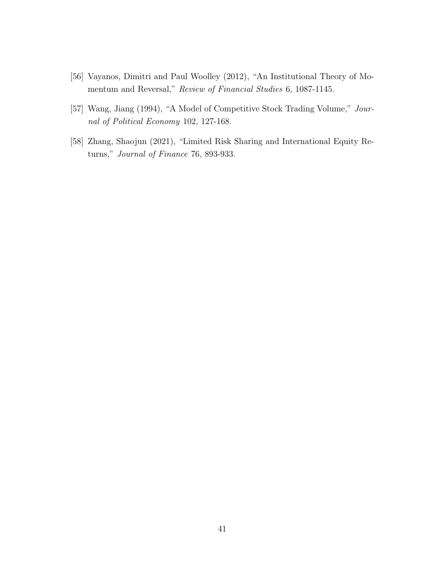- [56] Vayanos, Dimitri and Paul Woolley (2012), "An Institutional Theory of Momentum and Reversal," Review of Financial Studies 6, 1087-1145.
- [57] Wang, Jiang (1994), "A Model of Competitive Stock Trading Volume," Journal of Political Economy 102, 127-168.
- [58] Zhang, Shaojun (2021), "Limited Risk Sharing and International Equity Returns," Journal of Finance 76, 893-933.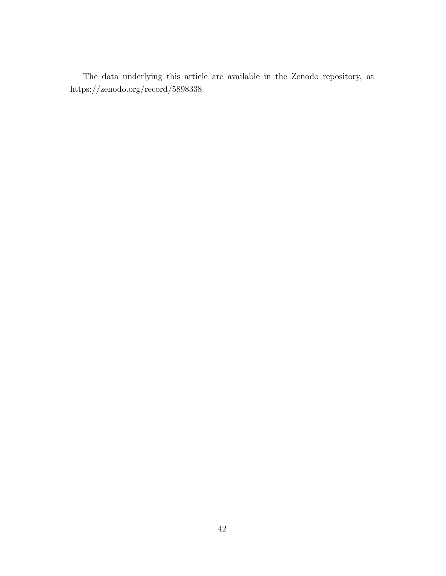The data underlying this article are available in the Zenodo repository, at https://zenodo.org/record/5898338.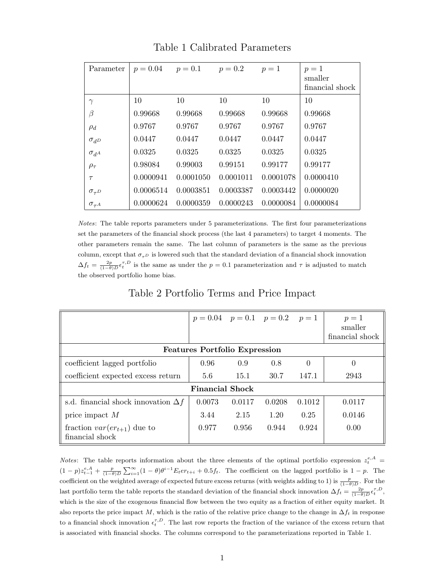| Parameter         |           | $p = 0.04$ $p = 0.1$ | $p = 0.2$ | $p=1$     | $p=1$<br>smaller<br>financial shock |
|-------------------|-----------|----------------------|-----------|-----------|-------------------------------------|
| $\gamma$          | 10        | 10                   | 10        | 10        | 10                                  |
| β                 | 0.99668   | 0.99668              | 0.99668   | 0.99668   | 0.99668                             |
| $\rho_d$          | 0.9767    | 0.9767               | 0.9767    | 0.9767    | 0.9767                              |
| $\sigma_{dD}$     | 0.0447    | 0.0447               | 0.0447    | 0.0447    | 0.0447                              |
| $\sigma_{d^A}$    | 0.0325    | 0.0325               | 0.0325    | 0.0325    | 0.0325                              |
| $\rho_{\tau}$     | 0.98084   | 0.99003              | 0.99151   | 0.99177   | 0.99177                             |
| $\tau$            | 0.0000941 | 0.0001050            | 0.0001011 | 0.0001078 | 0.0000410                           |
| $\sigma_{\tau D}$ | 0.0006514 | 0.0003851            | 0.0003387 | 0.0003442 | 0.0000020                           |
| $\sigma_{\tau^A}$ | 0.0000624 | 0.0000359            | 0.0000243 | 0.0000084 | 0.0000084                           |

Table 1 Calibrated Parameters

Notes: The table reports parameters under 5 parameterizations. The first four parameterizations set the parameters of the financial shock process (the last 4 parameters) to target 4 moments. The other parameters remain the same. The last column of parameters is the same as the previous column, except that  $\sigma_{\tau}$  is lowered such that the standard deviation of a financial shock innovation  $\Delta f_t = \frac{2p}{(1-\theta)D} \epsilon_t^{\tau,D}$  is the same as under the  $p = 0.1$  parameterization and  $\tau$  is adjusted to match the observed portfolio home bias.

| Table 2 Portfolio Terms and Price Impact |  |  |  |  |
|------------------------------------------|--|--|--|--|
|------------------------------------------|--|--|--|--|

|                                                    | $p = 0.04$ $p = 0.1$ $p = 0.2$ $p = 1$ |        |        |          | $p=1$<br>smaller<br>financial shock |  |  |
|----------------------------------------------------|----------------------------------------|--------|--------|----------|-------------------------------------|--|--|
| <b>Features Portfolio Expression</b>               |                                        |        |        |          |                                     |  |  |
| coefficient lagged portfolio                       | 0.96                                   | 0.9    | 0.8    | $\theta$ |                                     |  |  |
| coefficient expected excess return                 | 5.6                                    | 15.1   | 30.7   | 147.1    | 2943                                |  |  |
| <b>Financial Shock</b>                             |                                        |        |        |          |                                     |  |  |
| s.d. financial shock innovation $\Delta f$         | 0.0073                                 | 0.0117 | 0.0208 | 0.1012   | 0.0117                              |  |  |
| price impact $M$                                   | 3.44                                   | 2.15   | 1.20   | 0.25     | 0.0146                              |  |  |
| fraction $var(er_{t+1})$ due to<br>financial shock | 0.977                                  | 0.956  | 0.944  | 0.924    | 0.00                                |  |  |

*Notes*: The table reports information about the three elements of the optimal portfolio expression  $z_t^{e,A}$  $(1-p)z_{t-1}^{e,A}+\frac{p}{(1-\theta)D}\sum_{i=1}^{\infty}(1-\theta)\theta^{i-1}E_{t}er_{t+i}+0.5f_{t}$ . The coefficient on the lagged portfolio is  $1-p$ . The coefficient on the weighted average of expected future excess returns (with weights adding to 1) is  $\frac{p}{(1-\theta)D}$ . For the last portfolio term the table reports the standard deviation of the financial shock innovation  $\Delta f_t = \frac{2p}{(1-\theta)D} \epsilon_t^{\tau,D}$ , which is the size of the exogenous financial flow between the two equity as a fraction of either equity market. It also reports the price impact M, which is the ratio of the relative price change to the change in  $\Delta f_t$  in response to a financial shock innovation  $\epsilon_t^{\tau,D}$ . The last row reports the fraction of the variance of the excess return that is associated with financial shocks. The columns correspond to the parameterizations reported in Table 1.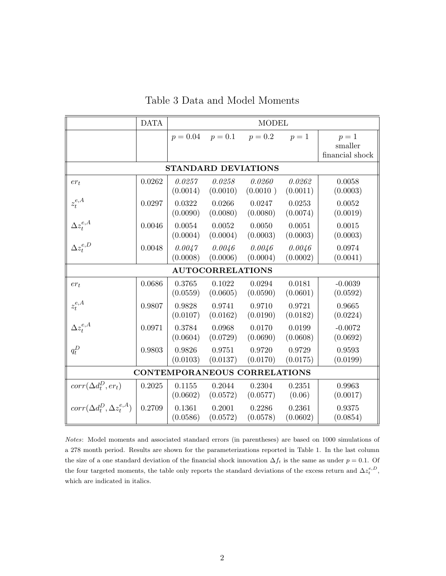|                                          | <b>DATA</b> | <b>MODEL</b>       |                         |                    |                    |                                     |  |  |
|------------------------------------------|-------------|--------------------|-------------------------|--------------------|--------------------|-------------------------------------|--|--|
|                                          |             | $p = 0.04$         | $p = 0.1$               | $p = 0.2$          | $p=1$              | $p=1$<br>smaller<br>financial shock |  |  |
| <b>STANDARD DEVIATIONS</b>               |             |                    |                         |                    |                    |                                     |  |  |
| $er_t$                                   | 0.0262      | 0.0257<br>(0.0014) | 0.0258<br>(0.0010)      | 0.0260<br>(0.0010) | 0.0262<br>(0.0011) | 0.0058<br>(0.0003)                  |  |  |
| $z^{e,A}_t$                              | 0.0297      | 0.0322<br>(0.0090) | 0.0266<br>(0.0080)      | 0.0247<br>(0.0080) | 0.0253<br>(0.0074) | 0.0052<br>(0.0019)                  |  |  |
| $\Delta z^{e,A}_t$<br>$\Delta z^{e,D}_t$ | 0.0046      | 0.0054<br>(0.0004) | 0.0052<br>(0.0004)      | 0.0050<br>(0.0003) | 0.0051<br>(0.0003) | 0.0015<br>(0.0003)                  |  |  |
|                                          | 0.0048      | 0.0047<br>(0.0008) | 0.0046<br>(0.0006)      | 0.0046<br>(0.0004) | 0.0046<br>(0.0002) | 0.0974<br>(0.0041)                  |  |  |
|                                          |             |                    | <b>AUTOCORRELATIONS</b> |                    |                    |                                     |  |  |
| $er_t$                                   | 0.0686      | 0.3765<br>(0.0559) | 0.1022<br>(0.0605)      | 0.0294<br>(0.0590) | 0.0181<br>(0.0601) | $-0.0039$<br>(0.0592)               |  |  |
| $z_t^{e,A}$                              | 0.9807      | 0.9828<br>(0.0107) | 0.9741<br>(0.0162)      | 0.9710<br>(0.0190) | 0.9721<br>(0.0182) | 0.9665<br>(0.0224)                  |  |  |
| $\Delta z^{e,A}_t$                       | 0.0971      | 0.3784<br>(0.0604) | 0.0968<br>(0.0729)      | 0.0170<br>(0.0690) | 0.0199<br>(0.0608) | $-0.0072$<br>(0.0692)               |  |  |
| $q_t^D$                                  | 0.9803      | 0.9826<br>(0.0103) | 0.9751<br>(0.0137)      | 0.9720<br>(0.0170) | 0.9729<br>(0.0175) | 0.9593<br>(0.0199)                  |  |  |
| CONTEMPORANEOUS CORRELATIONS             |             |                    |                         |                    |                    |                                     |  |  |
| $corr(\Delta d_t^D, er_t)$               | 0.2025      | 0.1155<br>(0.0602) | 0.2044<br>(0.0572)      | 0.2304<br>(0.0577) | 0.2351<br>(0.06)   | 0.9963<br>(0.0017)                  |  |  |
| $corr(\Delta d_t^D, \Delta z_t^{e, A})$  | 0.2709      | 0.1361<br>(0.0586) | 0.2001<br>(0.0572)      | 0.2286<br>(0.0578) | 0.2361<br>(0.0602) | 0.9375<br>(0.0854)                  |  |  |

Table 3 Data and Model Moments

Notes: Model moments and associated standard errors (in parentheses) are based on 1000 simulations of a 278 month period. Results are shown for the parameterizations reported in Table 1. In the last column the size of a one standard deviation of the financial shock innovation  $\Delta f_t$  is the same as under  $p = 0.1$ . Of the four targeted moments, the table only reports the standard deviations of the excess return and  $\Delta z_t^{e,D}$ , which are indicated in italics.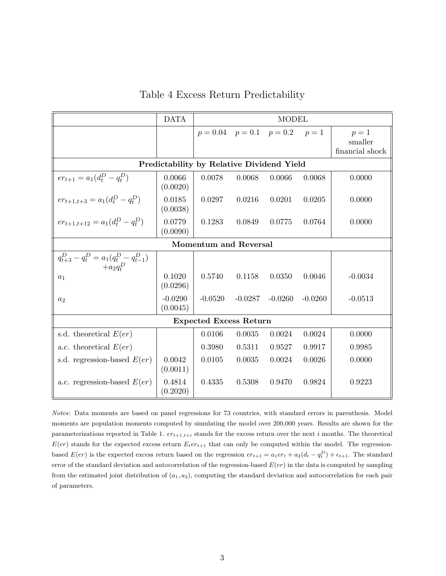|                                                                                                     | <b>DATA</b>           | <b>MODEL</b>                           |           |           |           |                                     |  |  |
|-----------------------------------------------------------------------------------------------------|-----------------------|----------------------------------------|-----------|-----------|-----------|-------------------------------------|--|--|
|                                                                                                     |                       | $p = 0.04$ $p = 0.1$ $p = 0.2$ $p = 1$ |           |           |           | $p=1$<br>smaller<br>financial shock |  |  |
| Predictability by Relative Dividend Yield                                                           |                       |                                        |           |           |           |                                     |  |  |
| $er_{t+1} = a_1(d_t^D - q_t^D)$                                                                     | 0.0066<br>(0.0020)    | 0.0078                                 | 0.0068    | 0.0066    | 0.0068    | 0.0000                              |  |  |
| $er_{t+1,t+3} = a_1(d_t^D - q_t^D)$                                                                 | 0.0185<br>(0.0038)    | 0.0297                                 | 0.0216    | 0.0201    | 0.0205    | 0.0000                              |  |  |
| $er_{t+1,t+12} = a_1(d_t^D - q_t^D)$                                                                | 0.0779<br>(0.0090)    | 0.1283                                 | 0.0849    | 0.0775    | 0.0764    | 0.0000                              |  |  |
| <b>Momentum and Reversal</b>                                                                        |                       |                                        |           |           |           |                                     |  |  |
| $\begin{array}{l} q_{t+3}^{D}-q_{t}^{D}=a_{1}(q_{t}^{D}-q_{t-1}^{D})\\ +a_{2}q_{t}^{D} \end{array}$ |                       |                                        |           |           |           |                                     |  |  |
| $a_1$                                                                                               | 0.1020<br>(0.0296)    | 0.5740                                 | 0.1158    | 0.0350    | 0.0046    | $-0.0034$                           |  |  |
| $a_2$                                                                                               | $-0.0290$<br>(0.0045) | $-0.0520$                              | $-0.0287$ | $-0.0260$ | $-0.0260$ | $-0.0513$                           |  |  |
| <b>Expected Excess Return</b>                                                                       |                       |                                        |           |           |           |                                     |  |  |
| s.d. theoretical $E(er)$                                                                            |                       | 0.0106                                 | 0.0035    | 0.0024    | 0.0024    | 0.0000                              |  |  |
| a.c. theoretical $E(er)$                                                                            |                       | 0.3980                                 | 0.5311    | 0.9527    | 0.9917    | 0.9985                              |  |  |
| s.d. regression-based $E(er)$                                                                       | 0.0042<br>(0.0011)    | 0.0105                                 | 0.0035    | 0.0024    | 0.0026    | 0.0000                              |  |  |
| a.c. regression-based $E(er)$                                                                       | 0.4814<br>(0.2020)    | 0.4335                                 | 0.5308    | 0.9470    | 0.9824    | 0.9223                              |  |  |

Table 4 Excess Return Predictability

Notes: Data moments are based on panel regressions for 73 countries, with standard errors in parenthesis. Model moments are population moments computed by simulating the model over 200,000 years. Results are shown for the parameterizations reported in Table 1.  $er_{t+1,t+i}$  stands for the excess return over the next i months. The theoretical  $E(er)$  stands for the expected excess return  $E_ter_{t+1}$  that can only be computed within the model. The regressionbased  $E(er)$  is the expected excess return based on the regression  $er_{t+1} = a_1er_t + a_2(d_t - q_t^D) + \epsilon_{t+1}$ . The standard error of the standard deviation and autocorrelation of the regression-based  $E(er)$  in the data is computed by sampling from the estimated joint distribution of  $(a_1, a_2)$ , computing the standard deviation and autocorrelation for each pair of parameters.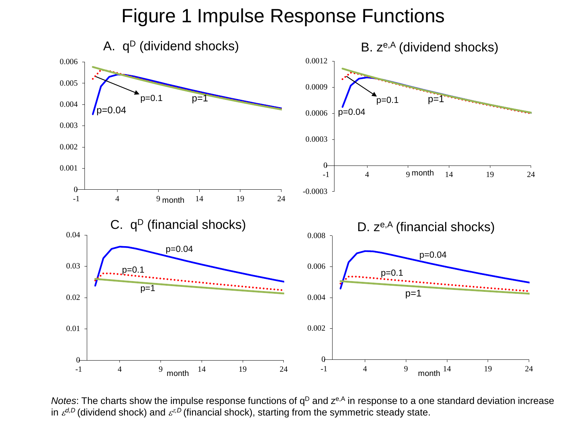## Figure 1 Impulse Response Functions



*Notes*: The charts show the impulse response functions of q<sup>D</sup> and z<sup>e,A</sup> in response to a one standard deviation increase in  $\varepsilon^{d,D}$  (dividend shock) and  $\varepsilon^{\varepsilon,D}$  (financial shock), starting from the symmetric steady state.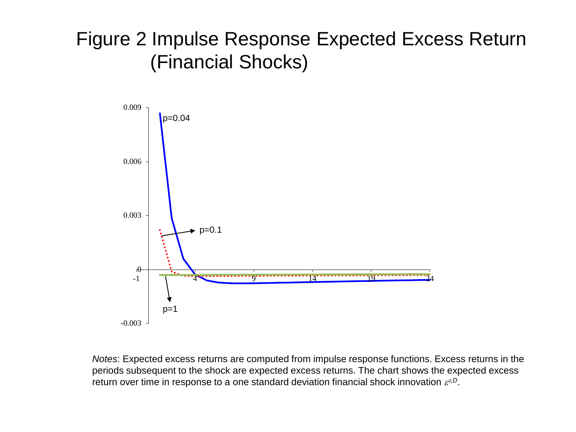# Figure 2 Impulse Response Expected Excess Return (Financial Shocks)

![](_page_48_Figure_1.jpeg)

*Notes*: Expected excess returns are computed from impulse response functions. Excess returns in the periods subsequent to the shock are expected excess returns. The chart shows the expected excess return over time in response to a one standard deviation financial shock innovation ετ*,D*.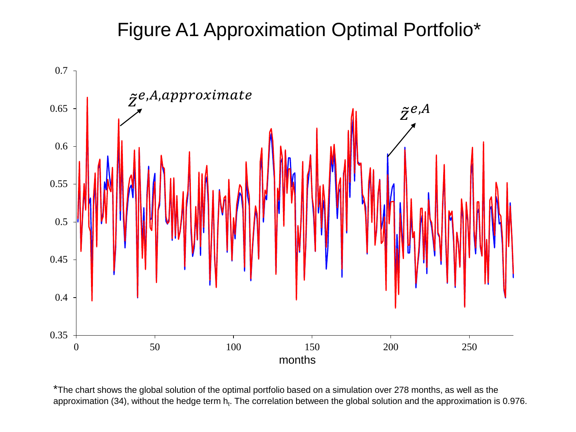## Figure A1 Approximation Optimal Portfolio\*

![](_page_49_Figure_1.jpeg)

\*The chart shows the global solution of the optimal portfolio based on a simulation over 278 months, as well as the approximation (34), without the hedge term  $h_t$ . The correlation between the global solution and the approximation is 0.976.